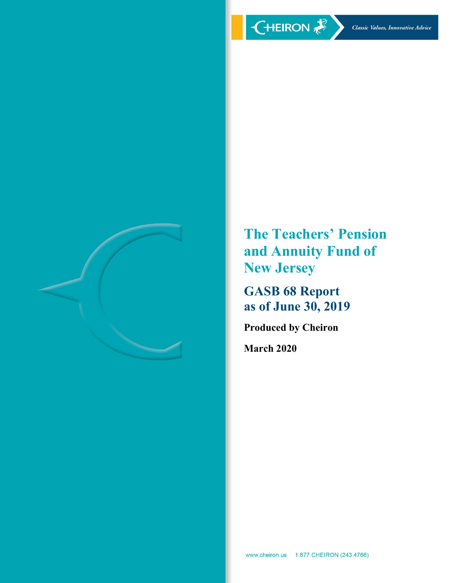

**The Teachers' Pension and Annuity Fund of New Jersey**

**GASB 68 Report as of June 30, 2019**

**Produced by Cheiron**

**March 2020**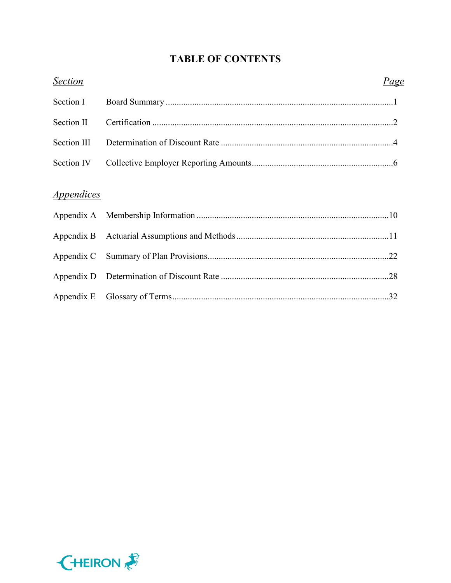# **TABLE OF CONTENTS**

| <b>Section</b>    | Page |
|-------------------|------|
| Section I         |      |
| Section II        |      |
| Section III       |      |
| Section IV        |      |
| <i>Appendices</i> |      |
|                   |      |
|                   |      |
|                   |      |
|                   |      |
|                   |      |
|                   |      |

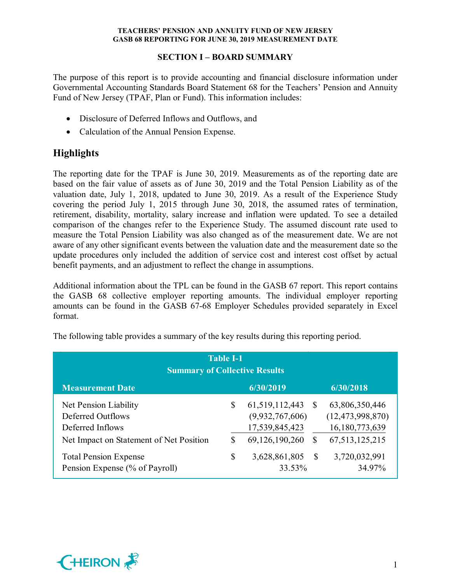## **SECTION I – BOARD SUMMARY**

The purpose of this report is to provide accounting and financial disclosure information under Governmental Accounting Standards Board Statement 68 for the Teachers' Pension and Annuity Fund of New Jersey (TPAF, Plan or Fund). This information includes:

- Disclosure of Deferred Inflows and Outflows, and
- Calculation of the Annual Pension Expense.

# **Highlights**

The reporting date for the TPAF is June 30, 2019. Measurements as of the reporting date are based on the fair value of assets as of June 30, 2019 and the Total Pension Liability as of the valuation date, July 1, 2018, updated to June 30, 2019. As a result of the Experience Study covering the period July 1, 2015 through June 30, 2018, the assumed rates of termination, retirement, disability, mortality, salary increase and inflation were updated. To see a detailed comparison of the changes refer to the Experience Study. The assumed discount rate used to measure the Total Pension Liability was also changed as of the measurement date. We are not aware of any other significant events between the valuation date and the measurement date so the update procedures only included the addition of service cost and interest cost offset by actual benefit payments, and an adjustment to reflect the change in assumptions.

Additional information about the TPL can be found in the GASB 67 report. This report contains the GASB 68 collective employer reporting amounts. The individual employer reporting amounts can be found in the GASB 67-68 Employer Schedules provided separately in Excel format.

| <b>Table I-1</b><br><b>Summary of Collective Results</b>                                                  |         |                                                        |                    |                                                         |  |  |  |  |
|-----------------------------------------------------------------------------------------------------------|---------|--------------------------------------------------------|--------------------|---------------------------------------------------------|--|--|--|--|
| <b>Measurement Date</b>                                                                                   |         | 6/30/2019                                              |                    | 6/30/2018                                               |  |  |  |  |
| Net Pension Liability<br>Deferred Outflows<br>Deferred Inflows                                            | \$      | 61, 519, 112, 443<br>(9,932,767,606)<br>17,539,845,423 | -S                 | 63,806,350,446<br>(12, 473, 998, 870)<br>16,180,773,639 |  |  |  |  |
| Net Impact on Statement of Net Position<br><b>Total Pension Expense</b><br>Pension Expense (% of Payroll) | S<br>\$ | 69,126,190,260<br>3,628,861,805<br>33.53%              | S<br><sup>\$</sup> | 67, 513, 125, 215<br>3,720,032,991<br>34.97%            |  |  |  |  |

The following table provides a summary of the key results during this reporting period.

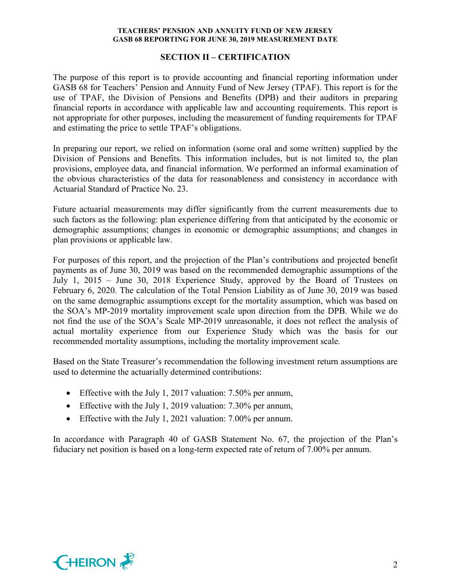#### **SECTION II – CERTIFICATION**

The purpose of this report is to provide accounting and financial reporting information under GASB 68 for Teachers' Pension and Annuity Fund of New Jersey (TPAF). This report is for the use of TPAF, the Division of Pensions and Benefits (DPB) and their auditors in preparing financial reports in accordance with applicable law and accounting requirements. This report is not appropriate for other purposes, including the measurement of funding requirements for TPAF and estimating the price to settle TPAF's obligations.

In preparing our report, we relied on information (some oral and some written) supplied by the Division of Pensions and Benefits. This information includes, but is not limited to, the plan provisions, employee data, and financial information. We performed an informal examination of the obvious characteristics of the data for reasonableness and consistency in accordance with Actuarial Standard of Practice No. 23.

Future actuarial measurements may differ significantly from the current measurements due to such factors as the following: plan experience differing from that anticipated by the economic or demographic assumptions; changes in economic or demographic assumptions; and changes in plan provisions or applicable law.

For purposes of this report, and the projection of the Plan's contributions and projected benefit payments as of June 30, 2019 was based on the recommended demographic assumptions of the July 1, 2015 – June 30, 2018 Experience Study, approved by the Board of Trustees on February 6, 2020. The calculation of the Total Pension Liability as of June 30, 2019 was based on the same demographic assumptions except for the mortality assumption, which was based on the SOA's MP-2019 mortality improvement scale upon direction from the DPB. While we do not find the use of the SOA's Scale MP-2019 unreasonable, it does not reflect the analysis of actual mortality experience from our Experience Study which was the basis for our recommended mortality assumptions, including the mortality improvement scale.

Based on the State Treasurer's recommendation the following investment return assumptions are used to determine the actuarially determined contributions:

- Effective with the July 1, 2017 valuation: 7.50% per annum,
- Effective with the July 1, 2019 valuation: 7.30% per annum,
- Effective with the July 1, 2021 valuation: 7.00% per annum.

In accordance with Paragraph 40 of GASB Statement No. 67, the projection of the Plan's fiduciary net position is based on a long-term expected rate of return of 7.00% per annum.

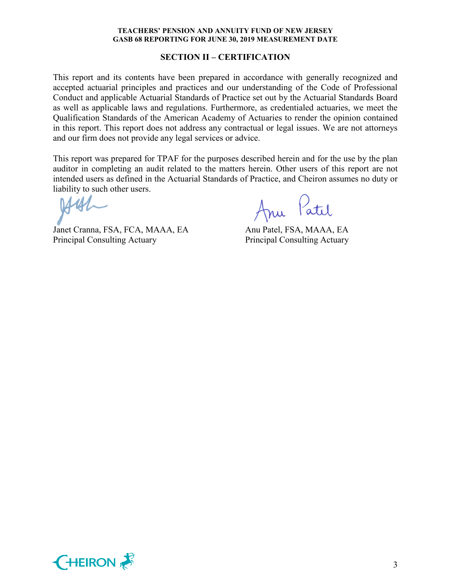#### **SECTION II – CERTIFICATION**

This report and its contents have been prepared in accordance with generally recognized and accepted actuarial principles and practices and our understanding of the Code of Professional Conduct and applicable Actuarial Standards of Practice set out by the Actuarial Standards Board as well as applicable laws and regulations. Furthermore, as credentialed actuaries, we meet the Qualification Standards of the American Academy of Actuaries to render the opinion contained in this report. This report does not address any contractual or legal issues. We are not attorneys and our firm does not provide any legal services or advice.

This report was prepared for TPAF for the purposes described herein and for the use by the plan auditor in completing an audit related to the matters herein. Other users of this report are not intended users as defined in the Actuarial Standards of Practice, and Cheiron assumes no duty or liability to such other users.

Janet Cranna, FSA, FCA, MAAA, EA Anu Patel, FSA, MAAA, EA Principal Consulting Actuary Principal Consulting Actuary

Anu Patil

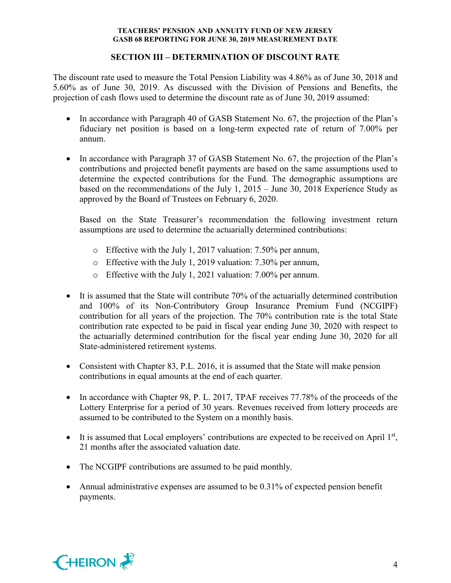## **SECTION III – DETERMINATION OF DISCOUNT RATE**

The discount rate used to measure the Total Pension Liability was 4.86% as of June 30, 2018 and 5.60% as of June 30, 2019. As discussed with the Division of Pensions and Benefits, the projection of cash flows used to determine the discount rate as of June 30, 2019 assumed:

- In accordance with Paragraph 40 of GASB Statement No. 67, the projection of the Plan's fiduciary net position is based on a long-term expected rate of return of 7.00% per annum.
- In accordance with Paragraph 37 of GASB Statement No. 67, the projection of the Plan's contributions and projected benefit payments are based on the same assumptions used to determine the expected contributions for the Fund. The demographic assumptions are based on the recommendations of the July 1, 2015 – June 30, 2018 Experience Study as approved by the Board of Trustees on February 6, 2020.

Based on the State Treasurer's recommendation the following investment return assumptions are used to determine the actuarially determined contributions:

- o Effective with the July 1, 2017 valuation: 7.50% per annum,
- o Effective with the July 1, 2019 valuation: 7.30% per annum,
- o Effective with the July 1, 2021 valuation: 7.00% per annum.
- It is assumed that the State will contribute 70% of the actuarially determined contribution and 100% of its Non-Contributory Group Insurance Premium Fund (NCGIPF) contribution for all years of the projection. The 70% contribution rate is the total State contribution rate expected to be paid in fiscal year ending June 30, 2020 with respect to the actuarially determined contribution for the fiscal year ending June 30, 2020 for all State-administered retirement systems.
- Consistent with Chapter 83, P.L. 2016, it is assumed that the State will make pension contributions in equal amounts at the end of each quarter.
- In accordance with Chapter 98, P. L. 2017, TPAF receives 77.78% of the proceeds of the Lottery Enterprise for a period of 30 years. Revenues received from lottery proceeds are assumed to be contributed to the System on a monthly basis.
- It is assumed that Local employers' contributions are expected to be received on April  $1<sup>st</sup>$ , 21 months after the associated valuation date.
- The NCGIPF contributions are assumed to be paid monthly.
- Annual administrative expenses are assumed to be 0.31% of expected pension benefit payments.

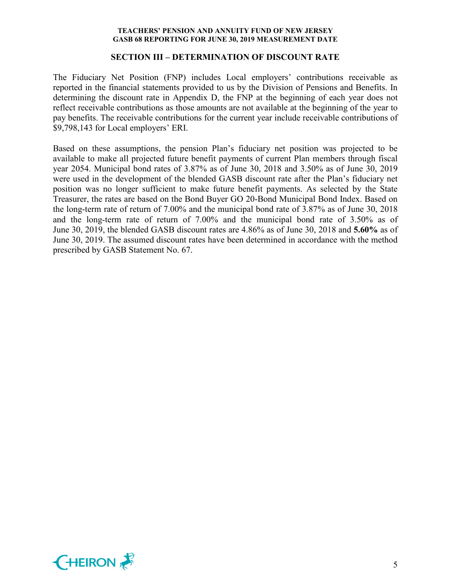#### **SECTION III – DETERMINATION OF DISCOUNT RATE**

The Fiduciary Net Position (FNP) includes Local employers' contributions receivable as reported in the financial statements provided to us by the Division of Pensions and Benefits. In determining the discount rate in Appendix D, the FNP at the beginning of each year does not reflect receivable contributions as those amounts are not available at the beginning of the year to pay benefits. The receivable contributions for the current year include receivable contributions of \$9,798,143 for Local employers' ERI.

Based on these assumptions, the pension Plan's fiduciary net position was projected to be available to make all projected future benefit payments of current Plan members through fiscal year 2054. Municipal bond rates of 3.87% as of June 30, 2018 and 3.50% as of June 30, 2019 were used in the development of the blended GASB discount rate after the Plan's fiduciary net position was no longer sufficient to make future benefit payments. As selected by the State Treasurer, the rates are based on the Bond Buyer GO 20-Bond Municipal Bond Index. Based on the long-term rate of return of 7.00% and the municipal bond rate of 3.87% as of June 30, 2018 and the long-term rate of return of 7.00% and the municipal bond rate of 3.50% as of June 30, 2019, the blended GASB discount rates are 4.86% as of June 30, 2018 and **5.60%** as of June 30, 2019. The assumed discount rates have been determined in accordance with the method prescribed by GASB Statement No. 67.

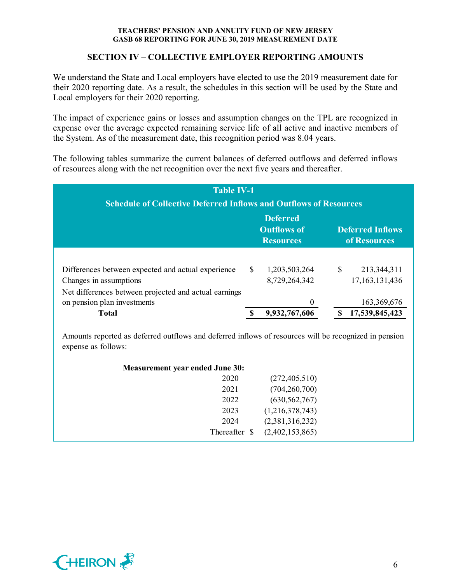## **SECTION IV – COLLECTIVE EMPLOYER REPORTING AMOUNTS**

We understand the State and Local employers have elected to use the 2019 measurement date for their 2020 reporting date. As a result, the schedules in this section will be used by the State and Local employers for their 2020 reporting.

The impact of experience gains or losses and assumption changes on the TPL are recognized in expense over the average expected remaining service life of all active and inactive members of the System. As of the measurement date, this recognition period was 8.04 years.

The following tables summarize the current balances of deferred outflows and deferred inflows of resources along with the net recognition over the next five years and thereafter.

| <b>Table IV-1</b><br><b>Schedule of Collective Deferred Inflows and Outflows of Resources</b>                  |     |                                                           |   |                                         |  |  |  |  |  |
|----------------------------------------------------------------------------------------------------------------|-----|-----------------------------------------------------------|---|-----------------------------------------|--|--|--|--|--|
|                                                                                                                |     | <b>Deferred</b><br><b>Outflows of</b><br><b>Resources</b> |   | <b>Deferred Inflows</b><br>of Resources |  |  |  |  |  |
| Differences between expected and actual experience                                                             | \$. | 1,203,503,264                                             | S | 213,344,311                             |  |  |  |  |  |
| Changes in assumptions<br>Net differences between projected and actual earnings<br>on pension plan investments |     | 8,729,264,342<br>0                                        |   | 17,163,131,436<br>163,369,676           |  |  |  |  |  |
| <b>Total</b>                                                                                                   |     | 9,932,767,606                                             |   | 17,539,845,423                          |  |  |  |  |  |

Amounts reported as deferred outflows and deferred inflows of resources will be recognized in pension expense as follows:

| <b>Measurement year ended June 30:</b> |               |                 |  |
|----------------------------------------|---------------|-----------------|--|
|                                        | 2020          | (272, 405, 510) |  |
|                                        | 2021          | (704, 260, 700) |  |
|                                        | 2022          | (630, 562, 767) |  |
|                                        | 2023          | (1,216,378,743) |  |
|                                        | 2024          | (2,381,316,232) |  |
|                                        | Thereafter \$ | (2,402,153,865) |  |
|                                        |               |                 |  |

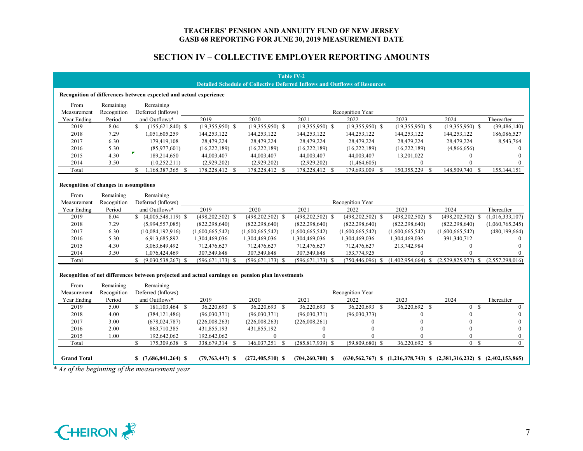## **SECTION IV – COLLECTIVE EMPLOYER REPORTING AMOUNTS**

|                                              |                |                                                                                                  |                               |                                | <b>Table IV-2</b>             | <b>Detailed Schedule of Collective Deferred Inflows and Outflows of Resources</b> |                                                                                |                      |                          |
|----------------------------------------------|----------------|--------------------------------------------------------------------------------------------------|-------------------------------|--------------------------------|-------------------------------|-----------------------------------------------------------------------------------|--------------------------------------------------------------------------------|----------------------|--------------------------|
|                                              |                | Recognition of differences between expected and actual experience                                |                               |                                |                               |                                                                                   |                                                                                |                      |                          |
| From                                         | Remaining      | Remaining                                                                                        |                               |                                |                               |                                                                                   |                                                                                |                      |                          |
| Measurement                                  | Recognition    | Deferred (Inflows)                                                                               |                               |                                |                               | Recognition Year                                                                  |                                                                                |                      |                          |
| Year Ending                                  | Period         | and Outflows*                                                                                    | 2019                          | 2020                           | 2021                          | 2022                                                                              | 2023                                                                           | 2024                 | Thereafter               |
| 2019                                         | 8.04           | S.<br>$(155, 621, 840)$ \$                                                                       | $(19,355,950)$ \$             | $(19,355,950)$ \$              | $(19,355,950)$ \$             | $(19,355,950)$ \$                                                                 | $(19,355,950)$ \$                                                              | $(19,355,950)$ \$    | (39, 486, 140)           |
| 2018                                         | 7.29           | 1,051,605,259                                                                                    | 144,253,122                   | 144,253,122                    | 144,253,122                   | 144,253,122                                                                       | 144,253,122                                                                    | 144,253,122          | 186,086,527              |
| 2017                                         | 6.30           | 179,419,108                                                                                      | 28,479,224                    | 28,479,224                     | 28,479,224                    | 28,479,224                                                                        | 28,479,224                                                                     | 28,479,224           | 8,543,764                |
| 2016                                         | 5.30           | (85,977,601)                                                                                     | (16, 222, 189)                | (16,222,189)                   | (16,222,189)                  | (16,222,189)                                                                      | (16, 222, 189)                                                                 | (4,866,656)          | $\Omega$                 |
| 2015                                         | 4.30           | $\pmb{\mathcal{F}}$<br>189,214,650                                                               | 44,003,407                    | 44,003,407                     | 44,003,407                    | 44,003,407                                                                        | 13,201,022                                                                     | $\mathbf{0}$         | $\Omega$                 |
| 2014                                         | 3.50           | (10, 252, 211)                                                                                   | (2,929,202)                   | (2,929,202)                    | (2,929,202)                   | (1,464,605)                                                                       | $\theta$                                                                       | $\theta$             | $\Omega$                 |
| Total                                        |                | $\mathbf{S}$<br>1,168,387,365 \$                                                                 | 178,228,412 \$                | 178,228,412 \$                 | 178,228,412 \$                | 179,693,009 \$                                                                    | 150,355,229 \$                                                                 | 148,509,740 \$       | 155, 144, 151            |
| <b>Recognition of changes in assumptions</b> |                |                                                                                                  |                               |                                |                               |                                                                                   |                                                                                |                      |                          |
| From                                         | Remaining      | Remaining                                                                                        |                               |                                |                               |                                                                                   |                                                                                |                      |                          |
| Measurement                                  | Recognition    | Deferred (Inflows)                                                                               |                               |                                |                               | Recognition Year                                                                  |                                                                                |                      |                          |
| Year Ending                                  | Period         | and Outflows*                                                                                    | 2019                          | 2020                           | 2021                          | 2022                                                                              | 2023                                                                           | 2024                 | Thereafter               |
| 2019                                         | 8.04           | $$(4,005,548,119)$ \\$                                                                           | $(498, 202, 502)$ \$          | $(498, 202, 502)$ \$           | $(498, 202, 502)$ \$          | $(498, 202, 502)$ \$                                                              | $(498, 202, 502)$ \$                                                           | $(498, 202, 502)$ \$ | (1,016,333,107)          |
| 2018                                         | 7.29           | (5,994,557,085)                                                                                  | (822, 298, 640)               | (822, 298, 640)                | (822, 298, 640)               | (822, 298, 640)                                                                   | (822, 298, 640)                                                                | (822, 298, 640)      | (1,060,765,245)          |
| 2017                                         | 6.30           | (10,084,192,916)                                                                                 | (1,600,665,542)               | (1,600,665,542)                | (1,600,665,542)               | (1,600,665,542)                                                                   | (1,600,665,542)                                                                | (1,600,665,542)      | (480, 199, 664)          |
| 2016                                         | 5.30           | 6,913,685,892                                                                                    | 1,304,469,036                 | 1,304,469,036                  | 1,304,469,036                 | 1,304,469,036                                                                     | 1,304,469,036                                                                  | 391,340,712          | $\theta$                 |
| 2015                                         | 4.30           | 3,063,649,492                                                                                    | 712,476,627                   | 712,476,627                    | 712,476,627                   | 712,476,627                                                                       | 213,742,984                                                                    | $\mathbf{0}$         | $\Omega$                 |
| 2014                                         | 3.50           | 1,076,424,469                                                                                    | 307,549,848                   | 307,549,848                    | 307,549,848                   | 153,774,925                                                                       | $\Omega$                                                                       | $\theta$             | $\Omega$                 |
| Total                                        |                | $$ (9,030,538,267)$ \$                                                                           | $(596, 671, 173)$ \$          | $(596, 671, 173)$ \$           | $(596, 671, 173)$ \$          | $(750, 446, 096)$ \$                                                              | $(1,402,954,664)$ \$                                                           | $(2,529,825,972)$ \$ | (2,557,298,016)          |
|                                              |                | Recognition of net differences between projected and actual earnings on pension plan investments |                               |                                |                               |                                                                                   |                                                                                |                      |                          |
| From                                         | Remaining      | Remaining                                                                                        |                               |                                |                               |                                                                                   |                                                                                |                      |                          |
| Measurement                                  | Recognition    | Deferred (Inflows)                                                                               | 2019                          | 2020                           | 2021                          | Recognition Year<br>2022                                                          | 2023                                                                           | 2024                 |                          |
| Year Ending<br>2019                          | Period<br>5.00 | and Outflows*<br>\$<br>181,103,464 \$                                                            |                               | 36,220,693 \$                  |                               | 36,220,693 \$                                                                     | 36,220,692 \$                                                                  | 0 S                  | Thereafter<br>$\theta$   |
| 2018                                         | 4.00           | (384, 121, 486)                                                                                  | 36,220,693 \$<br>(96,030,371) | (96,030,371)                   | 36,220,693 \$<br>(96,030,371) | (96,030,373)                                                                      | $\theta$                                                                       | $\mathbf{0}$         | $\theta$                 |
|                                              | 3.00           |                                                                                                  |                               |                                |                               |                                                                                   | $\Omega$                                                                       | $\Omega$             |                          |
| 2017                                         |                | (678, 024, 787)                                                                                  | (226,008,263)                 | (226,008,263)                  | (226,008,261)                 | $\theta$                                                                          | $\Omega$                                                                       | $\Omega$             | $\mathbf{0}$             |
| 2016                                         | 2.00           | 863,710,385                                                                                      | 431,855,193                   | 431,855,192                    | $\boldsymbol{0}$<br>$\Omega$  | $\mathbf{0}$<br>$\Omega$                                                          |                                                                                | $\theta$             | $\theta$<br>$\mathbf{0}$ |
| 2015<br>Total                                | 1.00           | 192,642,062<br>\$.<br>175,309,638 \$                                                             | 192,642,062<br>338,679,314 \$ | $\mathbf{0}$<br>146,037,251 \$ | $(285, 817, 939)$ \$          | $(59,809,680)$ \$                                                                 | 36,220,692 \$                                                                  | 0 S                  | $\theta$                 |
|                                              |                |                                                                                                  |                               |                                |                               |                                                                                   |                                                                                |                      |                          |
|                                              |                | $$(7,686,841,264)$ \, \$                                                                         | $(79,763,447)$ \$             | $(272, 405, 510)$ \$           | $(704, 260, 700)$ \$          |                                                                                   | $(630,562,767)$ \$ $(1,216,378,743)$ \$ $(2,381,316,232)$ \$ $(2,402,153,865)$ |                      |                          |

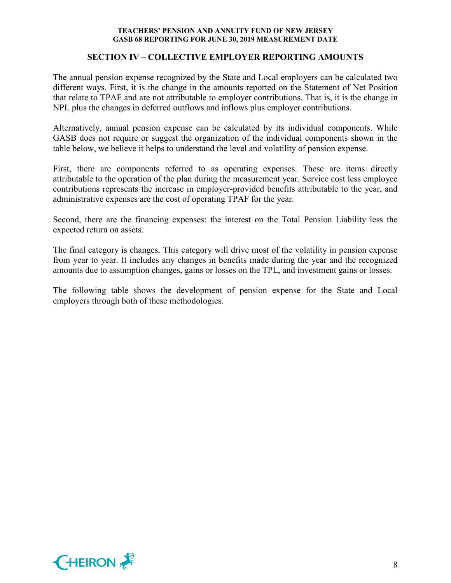## **SECTION IV – COLLECTIVE EMPLOYER REPORTING AMOUNTS**

The annual pension expense recognized by the State and Local employers can be calculated two different ways. First, it is the change in the amounts reported on the Statement of Net Position that relate to TPAF and are not attributable to employer contributions. That is, it is the change in NPL plus the changes in deferred outflows and inflows plus employer contributions.

Alternatively, annual pension expense can be calculated by its individual components. While GASB does not require or suggest the organization of the individual components shown in the table below, we believe it helps to understand the level and volatility of pension expense.

First, there are components referred to as operating expenses. These are items directly attributable to the operation of the plan during the measurement year. Service cost less employee contributions represents the increase in employer-provided benefits attributable to the year, and administrative expenses are the cost of operating TPAF for the year.

Second, there are the financing expenses: the interest on the Total Pension Liability less the expected return on assets.

The final category is changes. This category will drive most of the volatility in pension expense from year to year. It includes any changes in benefits made during the year and the recognized amounts due to assumption changes, gains or losses on the TPL, and investment gains or losses.

The following table shows the development of pension expense for the State and Local employers through both of these methodologies.

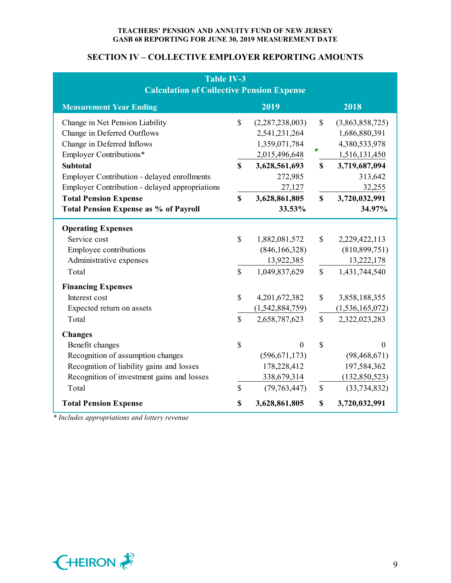## **SECTION IV – COLLECTIVE EMPLOYER REPORTING AMOUNTS**

| <b>Table IV-3</b><br><b>Calculation of Collective Pension Expense</b>                                                                                                                                   |                              |                                                                             |                              |                                                                              |  |  |  |  |
|---------------------------------------------------------------------------------------------------------------------------------------------------------------------------------------------------------|------------------------------|-----------------------------------------------------------------------------|------------------------------|------------------------------------------------------------------------------|--|--|--|--|
| <b>Measurement Year Ending</b>                                                                                                                                                                          |                              | 2019                                                                        |                              | 2018                                                                         |  |  |  |  |
| Change in Net Pension Liability<br>Change in Deferred Outflows<br>Change in Deferred Inflows<br>Employer Contributions*                                                                                 | $\mathbb{S}$                 | (2,287,238,003)<br>2,541,231,264<br>1,359,071,784<br>2,015,496,648          | $\mathbb{S}$<br>▛            | (3,863,858,725)<br>1,686,880,391<br>4,380,533,978<br>1,516,131,450           |  |  |  |  |
| <b>Subtotal</b><br><b>Employer Contribution - delayed enrollments</b><br>Employer Contribution - delayed appropriations<br><b>Total Pension Expense</b><br><b>Total Pension Expense as % of Payroll</b> | $\mathbf S$<br>$\mathbf S$   | 3,628,561,693<br>272,985<br>27,127<br>3,628,861,805<br>33.53%               | $\mathbf S$<br>$\mathbf S$   | 3,719,687,094<br>313,642<br>32,255<br>3,720,032,991<br>34.97%                |  |  |  |  |
| <b>Operating Expenses</b><br>Service cost<br>Employee contributions<br>Administrative expenses<br>Total                                                                                                 | $\mathbb{S}$<br>$\mathbb{S}$ | 1,882,081,572<br>(846, 166, 328)<br>13,922,385<br>1,049,837,629             | \$<br>$\mathbf S$            | 2,229,422,113<br>(810, 899, 751)<br>13,222,178<br>1,431,744,540              |  |  |  |  |
| <b>Financing Expenses</b><br>Interest cost<br>Expected return on assets<br>Total                                                                                                                        | \$<br>\$                     | 4,201,672,382<br>(1,542,884,759)<br>2,658,787,623                           | $\mathbb{S}$<br>\$           | 3,858,188,355<br>(1,536,165,072)<br>2,322,023,283                            |  |  |  |  |
| <b>Changes</b><br>Benefit changes<br>Recognition of assumption changes<br>Recognition of liability gains and losses<br>Recognition of investment gains and losses<br>Total                              | \$<br>$\mathbb{S}$           | $\Omega$<br>(596, 671, 173)<br>178,228,412<br>338,679,314<br>(79, 763, 447) | $\mathbb{S}$<br>$\mathbb{S}$ | $\theta$<br>(98, 468, 671)<br>197,584,362<br>(132,850,523)<br>(33, 734, 832) |  |  |  |  |
| <b>Total Pension Expense</b>                                                                                                                                                                            | \$                           | 3,628,861,805                                                               | \$                           | 3,720,032,991                                                                |  |  |  |  |

*\* Includes appropriations and lottery revenue*

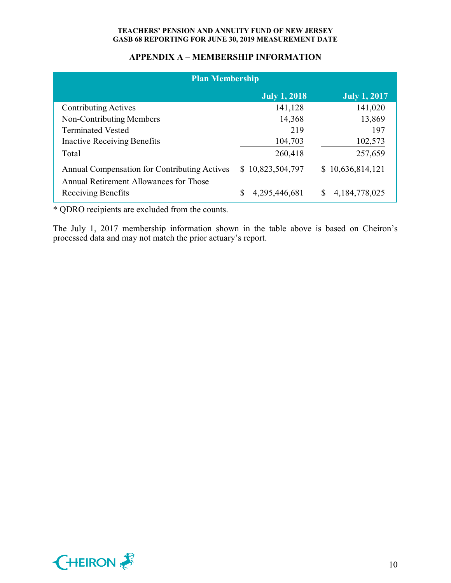## **APPENDIX A – MEMBERSHIP INFORMATION**

| <b>Plan Membership</b>                                                                 |                     |                       |  |  |  |  |  |  |
|----------------------------------------------------------------------------------------|---------------------|-----------------------|--|--|--|--|--|--|
|                                                                                        | <b>July 1, 2018</b> | <b>July 1, 2017</b>   |  |  |  |  |  |  |
| <b>Contributing Actives</b>                                                            | 141,128             | 141,020               |  |  |  |  |  |  |
| Non-Contributing Members                                                               | 14,368              | 13,869                |  |  |  |  |  |  |
| <b>Terminated Vested</b>                                                               | 219                 | 197                   |  |  |  |  |  |  |
| <b>Inactive Receiving Benefits</b>                                                     | 104,703             | 102,573               |  |  |  |  |  |  |
| Total                                                                                  | 260,418             | 257,659               |  |  |  |  |  |  |
| Annual Compensation for Contributing Actives<br>Annual Retirement Allowances for Those | \$10,823,504,797    | \$10,636,814,121      |  |  |  |  |  |  |
| Receiving Benefits                                                                     | 4,295,446,681       | S<br>4, 184, 778, 025 |  |  |  |  |  |  |

\* QDRO recipients are excluded from the counts.

The July 1, 2017 membership information shown in the table above is based on Cheiron's processed data and may not match the prior actuary's report.

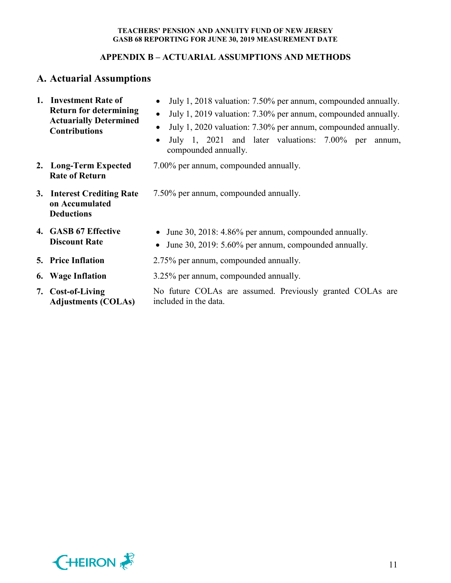## **APPENDIX B – ACTUARIAL ASSUMPTIONS AND METHODS**

# **A. Actuarial Assumptions**

| 1. Investment Rate of<br><b>Return for determining</b><br><b>Actuarially Determined</b><br><b>Contributions</b> | July 1, 2018 valuation: 7.50% per annum, compounded annually.<br>July 1, 2019 valuation: 7.30% per annum, compounded annually.<br>$\bullet$<br>July 1, 2020 valuation: 7.30% per annum, compounded annually.<br>July 1, 2021 and later valuations: 7.00% per<br>annum,<br>compounded annually. |  |  |  |  |  |  |
|-----------------------------------------------------------------------------------------------------------------|------------------------------------------------------------------------------------------------------------------------------------------------------------------------------------------------------------------------------------------------------------------------------------------------|--|--|--|--|--|--|
| 2. Long-Term Expected<br><b>Rate of Return</b>                                                                  | 7.00% per annum, compounded annually.                                                                                                                                                                                                                                                          |  |  |  |  |  |  |
| 3. Interest Crediting Rate<br>on Accumulated<br><b>Deductions</b>                                               | 7.50% per annum, compounded annually.                                                                                                                                                                                                                                                          |  |  |  |  |  |  |
| 4. GASB 67 Effective<br><b>Discount Rate</b>                                                                    | June 30, 2018: 4.86% per annum, compounded annually.<br>June 30, 2019: 5.60% per annum, compounded annually.                                                                                                                                                                                   |  |  |  |  |  |  |
| <b>5. Price Inflation</b>                                                                                       | 2.75% per annum, compounded annually.                                                                                                                                                                                                                                                          |  |  |  |  |  |  |
| 6. Wage Inflation                                                                                               | 3.25% per annum, compounded annually.                                                                                                                                                                                                                                                          |  |  |  |  |  |  |
| 7. Cost-of-Living<br><b>Adjustments (COLAs)</b>                                                                 | No future COLAs are assumed. Previously granted COLAs are<br>included in the data.                                                                                                                                                                                                             |  |  |  |  |  |  |

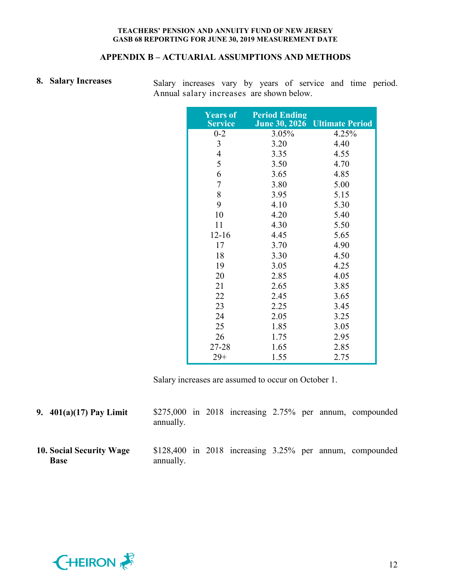## **APPENDIX B – ACTUARIAL ASSUMPTIONS AND METHODS**

8. Salary Increases Salary increases vary by years of service and time period. Annual salary increases are shown below.

| <b>Years of</b><br><b>Service</b> | <b>Period Ending</b><br><b>June 30, 2026</b> | <b>Ultimate Period</b> |
|-----------------------------------|----------------------------------------------|------------------------|
| $0 - 2$                           | 3.05%                                        | 4.25%                  |
| 3                                 | 3.20                                         | 4.40                   |
| $\overline{4}$                    | 3.35                                         | 4.55                   |
| 5                                 | 3.50                                         | 4.70                   |
| 6                                 | 3.65                                         | 4.85                   |
| $\overline{7}$                    | 3.80                                         | 5.00                   |
| 8                                 | 3.95                                         | 5.15                   |
| 9                                 | 4.10                                         | 5.30                   |
| 10                                | 4.20                                         | 5.40                   |
| 11                                | 4.30                                         | 5.50                   |
| $12 - 16$                         | 4.45                                         | 5.65                   |
| 17                                | 3.70                                         | 4.90                   |
| 18                                | 3.30                                         | 4.50                   |
| 19                                | 3.05                                         | 4.25                   |
| 20                                | 2.85                                         | 4.05                   |
| 21                                | 2.65                                         | 3.85                   |
| 22                                | 2.45                                         | 3.65                   |
| 23                                | 2.25                                         | 3.45                   |
| 24                                | 2.05                                         | 3.25                   |
| 25                                | 1.85                                         | 3.05                   |
| 26                                | 1.75                                         | 2.95                   |
| 27-28                             | 1.65                                         | 2.85                   |
| $29+$                             | 1.55                                         | 2.75                   |

Salary increases are assumed to occur on October 1.

| 9. $401(a)(17)$ Pay Limit               | annually. |  |  |  | $$275,000$ in 2018 increasing 2.75% per annum, compounded      |
|-----------------------------------------|-----------|--|--|--|----------------------------------------------------------------|
| 10. Social Security Wage<br><b>Base</b> | annually. |  |  |  | $$128,400$ in $2018$ increasing $3.25\%$ per annum, compounded |

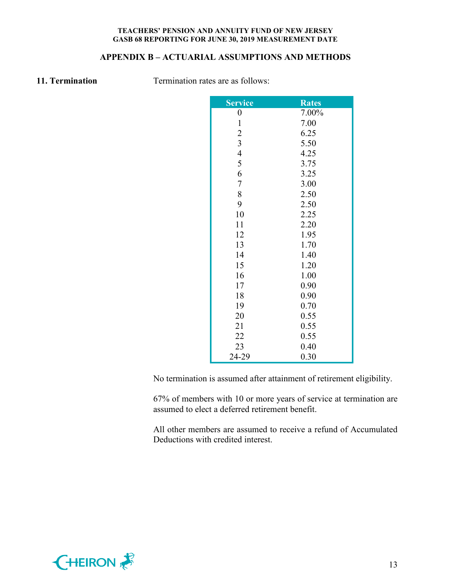## **APPENDIX B – ACTUARIAL ASSUMPTIONS AND METHODS**

**11. Termination** Termination rates are as follows:

| <b>Service</b>   | <b>Rates</b> |
|------------------|--------------|
| $\boldsymbol{0}$ | 7.00%        |
| $\mathbf{1}$     | 7.00         |
| $\overline{c}$   | 6.25         |
| $\overline{3}$   | 5.50         |
| $\overline{4}$   | 4.25         |
| 5                | 3.75         |
| 6                | 3.25         |
| $\overline{7}$   | 3.00         |
| 8                | 2.50         |
| 9                | 2.50         |
| 10               | 2.25         |
| 11               | 2.20         |
| 12               | 1.95         |
| 13               | 1.70         |
| 14               | 1.40         |
| 15               | 1.20         |
| 16               | 1.00         |
| 17               | 0.90         |
| 18               | 0.90         |
| 19               | 0.70         |
| 20               | 0.55         |
| 21               | 0.55         |
| 22               | 0.55         |
| 23               | 0.40         |
| 24-29            | 0.30         |

No termination is assumed after attainment of retirement eligibility.

67% of members with 10 or more years of service at termination are assumed to elect a deferred retirement benefit.

All other members are assumed to receive a refund of Accumulated Deductions with credited interest.

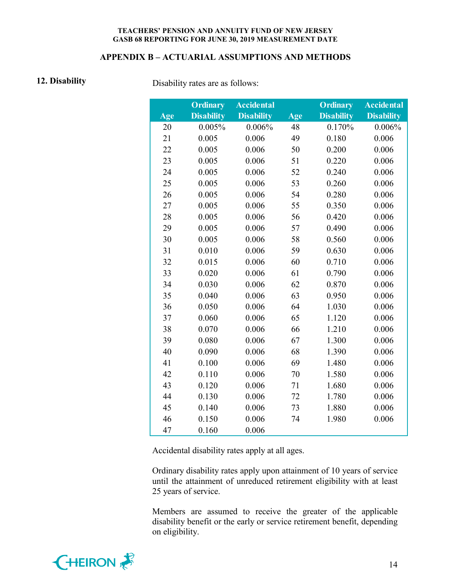#### **APPENDIX B – ACTUARIAL ASSUMPTIONS AND METHODS**

**12. Disability** Disability rates are as follows:

|     | <b>Ordinary</b>   | <b>Accidental</b> |     | <b>Ordinary</b>   | <b>Accidental</b> |
|-----|-------------------|-------------------|-----|-------------------|-------------------|
| Age | <b>Disability</b> | <b>Disability</b> | Age | <b>Disability</b> | <b>Disability</b> |
| 20  | 0.005%            | 0.006%            | 48  | 0.170%            | 0.006%            |
| 21  | 0.005             | 0.006             | 49  | 0.180             | 0.006             |
| 22  | 0.005             | 0.006             | 50  | 0.200             | 0.006             |
| 23  | 0.005             | 0.006             | 51  | 0.220             | 0.006             |
| 24  | 0.005             | 0.006             | 52  | 0.240             | 0.006             |
| 25  | 0.005             | 0.006             | 53  | 0.260             | 0.006             |
| 26  | 0.005             | 0.006             | 54  | 0.280             | 0.006             |
| 27  | 0.005             | 0.006             | 55  | 0.350             | 0.006             |
| 28  | 0.005             | 0.006             | 56  | 0.420             | 0.006             |
| 29  | 0.005             | 0.006             | 57  | 0.490             | 0.006             |
| 30  | 0.005             | 0.006             | 58  | 0.560             | 0.006             |
| 31  | 0.010             | 0.006             | 59  | 0.630             | 0.006             |
| 32  | 0.015             | 0.006             | 60  | 0.710             | 0.006             |
| 33  | 0.020             | 0.006             | 61  | 0.790             | 0.006             |
| 34  | 0.030             | 0.006             | 62  | 0.870             | 0.006             |
| 35  | 0.040             | 0.006             | 63  | 0.950             | 0.006             |
| 36  | 0.050             | 0.006             | 64  | 1.030             | 0.006             |
| 37  | 0.060             | 0.006             | 65  | 1.120             | 0.006             |
| 38  | 0.070             | 0.006             | 66  | 1.210             | 0.006             |
| 39  | 0.080             | 0.006             | 67  | 1.300             | 0.006             |
| 40  | 0.090             | 0.006             | 68  | 1.390             | 0.006             |
| 41  | 0.100             | 0.006             | 69  | 1.480             | 0.006             |
| 42  | 0.110             | 0.006             | 70  | 1.580             | 0.006             |
| 43  | 0.120             | 0.006             | 71  | 1.680             | 0.006             |
| 44  | 0.130             | 0.006             | 72  | 1.780             | 0.006             |
| 45  | 0.140             | 0.006             | 73  | 1.880             | 0.006             |
| 46  | 0.150             | 0.006             | 74  | 1.980             | 0.006             |
| 47  | 0.160             | 0.006             |     |                   |                   |

Accidental disability rates apply at all ages.

Ordinary disability rates apply upon attainment of 10 years of service until the attainment of unreduced retirement eligibility with at least 25 years of service.

Members are assumed to receive the greater of the applicable disability benefit or the early or service retirement benefit, depending on eligibility.

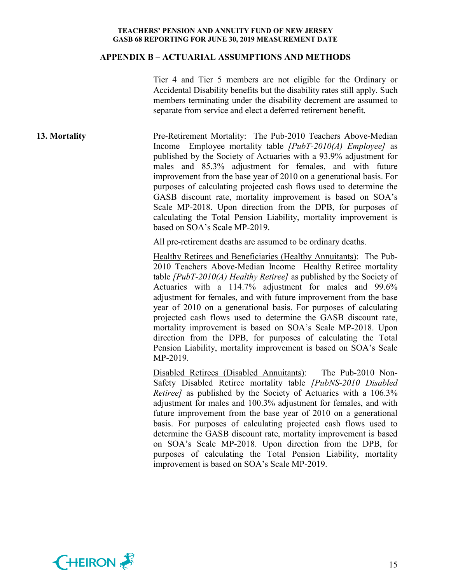#### **APPENDIX B – ACTUARIAL ASSUMPTIONS AND METHODS**

Tier 4 and Tier 5 members are not eligible for the Ordinary or Accidental Disability benefits but the disability rates still apply. Such members terminating under the disability decrement are assumed to separate from service and elect a deferred retirement benefit.

**13. Mortality Pre-Retirement Mortality:** The Pub-2010 Teachers Above-Median Income Employee mortality table *[PubT-2010(A) Employee]* as published by the Society of Actuaries with a 93.9% adjustment for males and 85.3% adjustment for females, and with future improvement from the base year of 2010 on a generational basis. For purposes of calculating projected cash flows used to determine the GASB discount rate, mortality improvement is based on SOA's Scale MP-2018. Upon direction from the DPB, for purposes of calculating the Total Pension Liability, mortality improvement is based on SOA's Scale MP-2019.

All pre-retirement deaths are assumed to be ordinary deaths.

Healthy Retirees and Beneficiaries (Healthy Annuitants): The Pub-2010 Teachers Above-Median Income Healthy Retiree mortality table *[PubT-2010(A) Healthy Retiree]* as published by the Society of Actuaries with a 114.7% adjustment for males and 99.6% adjustment for females, and with future improvement from the base year of 2010 on a generational basis. For purposes of calculating projected cash flows used to determine the GASB discount rate, mortality improvement is based on SOA's Scale MP-2018. Upon direction from the DPB, for purposes of calculating the Total Pension Liability, mortality improvement is based on SOA's Scale MP-2019.

Disabled Retirees (Disabled Annuitants): The Pub-2010 Non-Safety Disabled Retiree mortality table *[PubNS-2010 Disabled Retiree]* as published by the Society of Actuaries with a 106.3% adjustment for males and 100.3% adjustment for females, and with future improvement from the base year of 2010 on a generational basis. For purposes of calculating projected cash flows used to determine the GASB discount rate, mortality improvement is based on SOA's Scale MP-2018. Upon direction from the DPB, for purposes of calculating the Total Pension Liability, mortality improvement is based on SOA's Scale MP-2019.

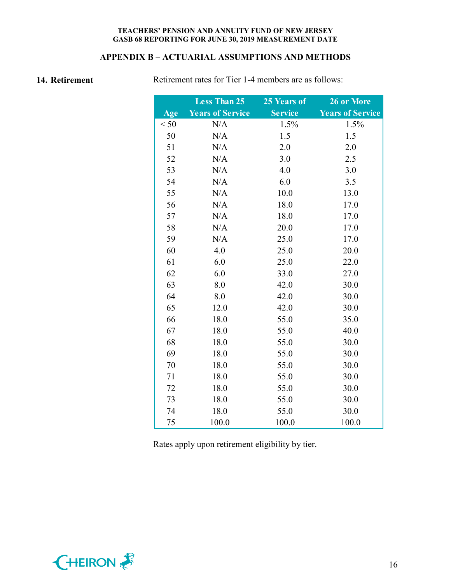## **APPENDIX B – ACTUARIAL ASSUMPTIONS AND METHODS**

**14. Retirement** Retirement rates for Tier 1-4 members are as follows:

|      | <b>Less Than 25</b>     | 25 Years of    | 26 or More              |
|------|-------------------------|----------------|-------------------------|
| Age  | <b>Years of Service</b> | <b>Service</b> | <b>Years of Service</b> |
| < 50 | N/A                     | 1.5%           | 1.5%                    |
| 50   | N/A                     | 1.5            | 1.5                     |
| 51   | N/A                     | 2.0            | 2.0                     |
| 52   | N/A                     | 3.0            | 2.5                     |
| 53   | N/A                     | 4.0            | 3.0                     |
| 54   | N/A                     | 6.0            | 3.5                     |
| 55   | N/A                     | 10.0           | 13.0                    |
| 56   | N/A                     | 18.0           | 17.0                    |
| 57   | N/A                     | 18.0           | 17.0                    |
| 58   | N/A                     | 20.0           | 17.0                    |
| 59   | N/A                     | 25.0           | 17.0                    |
| 60   | 4.0                     | 25.0           | 20.0                    |
| 61   | 6.0                     | 25.0           | 22.0                    |
| 62   | 6.0                     | 33.0           | 27.0                    |
| 63   | 8.0                     | 42.0           | 30.0                    |
| 64   | 8.0                     | 42.0           | 30.0                    |
| 65   | 12.0                    | 42.0           | 30.0                    |
| 66   | 18.0                    | 55.0           | 35.0                    |
| 67   | 18.0                    | 55.0           | 40.0                    |
| 68   | 18.0                    | 55.0           | 30.0                    |
| 69   | 18.0                    | 55.0           | 30.0                    |
| 70   | 18.0                    | 55.0           | 30.0                    |
| 71   | 18.0                    | 55.0           | 30.0                    |
| 72   | 18.0                    | 55.0           | 30.0                    |
| 73   | 18.0                    | 55.0           | 30.0                    |
| 74   | 18.0                    | 55.0           | 30.0                    |
| 75   | 100.0                   | 100.0          | 100.0                   |

Rates apply upon retirement eligibility by tier.

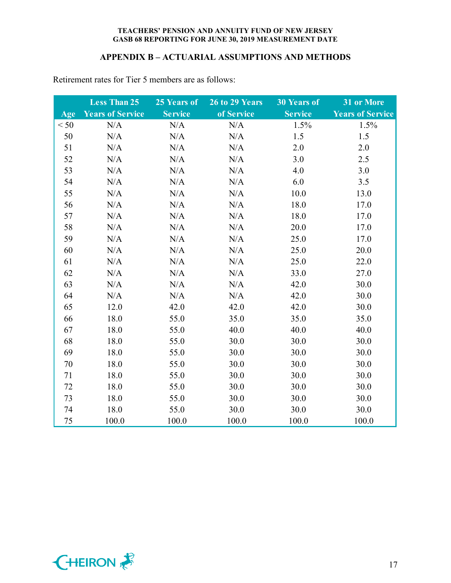#### **APPENDIX B – ACTUARIAL ASSUMPTIONS AND METHODS**

|      | <b>Less Than 25</b>     | 25 Years of    | 26 to 29 Years | <b>30 Years of</b> | 31 or More              |
|------|-------------------------|----------------|----------------|--------------------|-------------------------|
| Age  | <b>Years of Service</b> | <b>Service</b> | of Service     | <b>Service</b>     | <b>Years of Service</b> |
| < 50 | N/A                     | N/A            | N/A            | 1.5%               | 1.5%                    |
| 50   | N/A                     | N/A            | N/A            | 1.5                | 1.5                     |
| 51   | N/A                     | N/A            | N/A            | 2.0                | 2.0                     |
| 52   | N/A                     | N/A            | N/A            | 3.0                | 2.5                     |
| 53   | N/A                     | N/A            | N/A            | 4.0                | 3.0                     |
| 54   | N/A                     | N/A            | N/A            | 6.0                | 3.5                     |
| 55   | N/A                     | N/A            | N/A            | 10.0               | 13.0                    |
| 56   | N/A                     | N/A            | N/A            | 18.0               | 17.0                    |
| 57   | N/A                     | N/A            | N/A            | 18.0               | 17.0                    |
| 58   | N/A                     | N/A            | N/A            | 20.0               | 17.0                    |
| 59   | N/A                     | N/A            | N/A            | 25.0               | 17.0                    |
| 60   | N/A                     | N/A            | N/A            | 25.0               | 20.0                    |
| 61   | N/A                     | N/A            | N/A            | 25.0               | 22.0                    |
| 62   | N/A                     | N/A            | N/A            | 33.0               | 27.0                    |
| 63   | N/A                     | N/A            | N/A            | 42.0               | 30.0                    |
| 64   | N/A                     | N/A            | N/A            | 42.0               | 30.0                    |
| 65   | 12.0                    | 42.0           | 42.0           | 42.0               | 30.0                    |
| 66   | 18.0                    | 55.0           | 35.0           | 35.0               | 35.0                    |
| 67   | 18.0                    | 55.0           | 40.0           | 40.0               | 40.0                    |
| 68   | 18.0                    | 55.0           | 30.0           | 30.0               | 30.0                    |
| 69   | 18.0                    | 55.0           | 30.0           | 30.0               | 30.0                    |
| 70   | 18.0                    | 55.0           | 30.0           | 30.0               | 30.0                    |
| 71   | 18.0                    | 55.0           | 30.0           | 30.0               | 30.0                    |
| 72   | 18.0                    | 55.0           | 30.0           | 30.0               | 30.0                    |
| 73   | 18.0                    | 55.0           | 30.0           | 30.0               | 30.0                    |
| 74   | 18.0                    | 55.0           | 30.0           | 30.0               | 30.0                    |
| 75   | 100.0                   | 100.0          | 100.0          | 100.0              | 100.0                   |

Retirement rates for Tier 5 members are as follows:

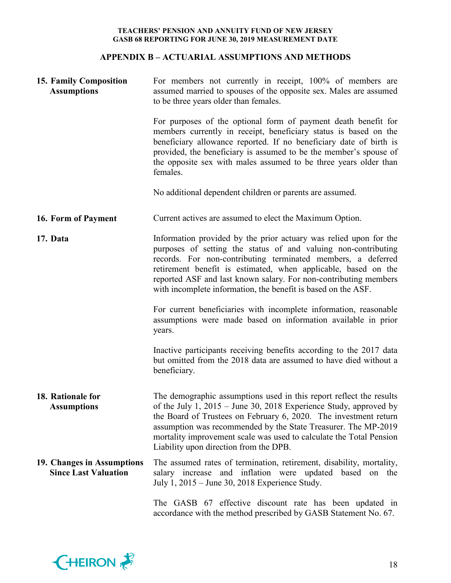## **APPENDIX B – ACTUARIAL ASSUMPTIONS AND METHODS**

| <b>15. Family Composition</b><br><b>Assumptions</b>       | For members not currently in receipt, 100% of members are<br>assumed married to spouses of the opposite sex. Males are assumed<br>to be three years older than females.                                                                                                                                                                                                                                    |  |  |  |  |
|-----------------------------------------------------------|------------------------------------------------------------------------------------------------------------------------------------------------------------------------------------------------------------------------------------------------------------------------------------------------------------------------------------------------------------------------------------------------------------|--|--|--|--|
|                                                           | For purposes of the optional form of payment death benefit for<br>members currently in receipt, beneficiary status is based on the<br>beneficiary allowance reported. If no beneficiary date of birth is<br>provided, the beneficiary is assumed to be the member's spouse of<br>the opposite sex with males assumed to be three years older than<br>females.                                              |  |  |  |  |
|                                                           | No additional dependent children or parents are assumed.                                                                                                                                                                                                                                                                                                                                                   |  |  |  |  |
| 16. Form of Payment                                       | Current actives are assumed to elect the Maximum Option.                                                                                                                                                                                                                                                                                                                                                   |  |  |  |  |
| 17. Data                                                  | Information provided by the prior actuary was relied upon for the<br>purposes of setting the status of and valuing non-contributing<br>records. For non-contributing terminated members, a deferred<br>retirement benefit is estimated, when applicable, based on the<br>reported ASF and last known salary. For non-contributing members<br>with incomplete information, the benefit is based on the ASF. |  |  |  |  |
|                                                           | For current beneficiaries with incomplete information, reasonable<br>assumptions were made based on information available in prior<br>years.                                                                                                                                                                                                                                                               |  |  |  |  |
|                                                           | Inactive participants receiving benefits according to the 2017 data<br>but omitted from the 2018 data are assumed to have died without a<br>beneficiary.                                                                                                                                                                                                                                                   |  |  |  |  |
| 18. Rationale for<br><b>Assumptions</b>                   | The demographic assumptions used in this report reflect the results<br>of the July 1, 2015 – June 30, 2018 Experience Study, approved by<br>the Board of Trustees on February 6, 2020. The investment return<br>assumption was recommended by the State Treasurer. The MP-2019<br>mortality improvement scale was used to calculate the Total Pension<br>Liability upon direction from the DPB.            |  |  |  |  |
| 19. Changes in Assumptions<br><b>Since Last Valuation</b> | The assumed rates of termination, retirement, disability, mortality,<br>salary increase and inflation were updated based on the<br>July 1, 2015 – June 30, 2018 Experience Study.                                                                                                                                                                                                                          |  |  |  |  |
|                                                           | The GASB 67 effective discount rate has been updated in<br>accordance with the method prescribed by GASB Statement No. 67.                                                                                                                                                                                                                                                                                 |  |  |  |  |

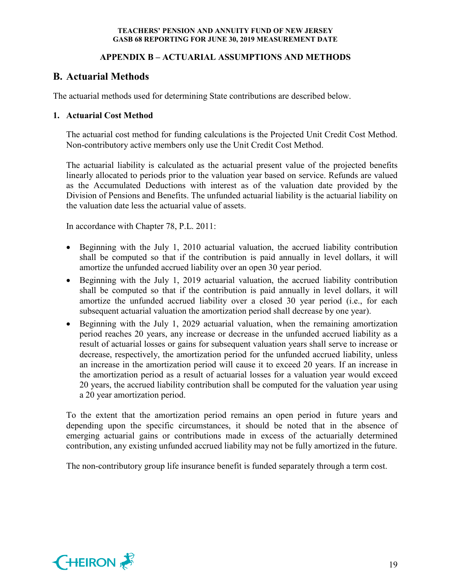## **APPENDIX B – ACTUARIAL ASSUMPTIONS AND METHODS**

# **B. Actuarial Methods**

The actuarial methods used for determining State contributions are described below.

## **1. Actuarial Cost Method**

The actuarial cost method for funding calculations is the Projected Unit Credit Cost Method. Non-contributory active members only use the Unit Credit Cost Method.

The actuarial liability is calculated as the actuarial present value of the projected benefits linearly allocated to periods prior to the valuation year based on service. Refunds are valued as the Accumulated Deductions with interest as of the valuation date provided by the Division of Pensions and Benefits. The unfunded actuarial liability is the actuarial liability on the valuation date less the actuarial value of assets.

In accordance with Chapter 78, P.L. 2011:

- Beginning with the July 1, 2010 actuarial valuation, the accrued liability contribution shall be computed so that if the contribution is paid annually in level dollars, it will amortize the unfunded accrued liability over an open 30 year period.
- Beginning with the July 1, 2019 actuarial valuation, the accrued liability contribution shall be computed so that if the contribution is paid annually in level dollars, it will amortize the unfunded accrued liability over a closed 30 year period (i.e., for each subsequent actuarial valuation the amortization period shall decrease by one year).
- Beginning with the July 1, 2029 actuarial valuation, when the remaining amortization period reaches 20 years, any increase or decrease in the unfunded accrued liability as a result of actuarial losses or gains for subsequent valuation years shall serve to increase or decrease, respectively, the amortization period for the unfunded accrued liability, unless an increase in the amortization period will cause it to exceed 20 years. If an increase in the amortization period as a result of actuarial losses for a valuation year would exceed 20 years, the accrued liability contribution shall be computed for the valuation year using a 20 year amortization period.

To the extent that the amortization period remains an open period in future years and depending upon the specific circumstances, it should be noted that in the absence of emerging actuarial gains or contributions made in excess of the actuarially determined contribution, any existing unfunded accrued liability may not be fully amortized in the future.

The non-contributory group life insurance benefit is funded separately through a term cost.

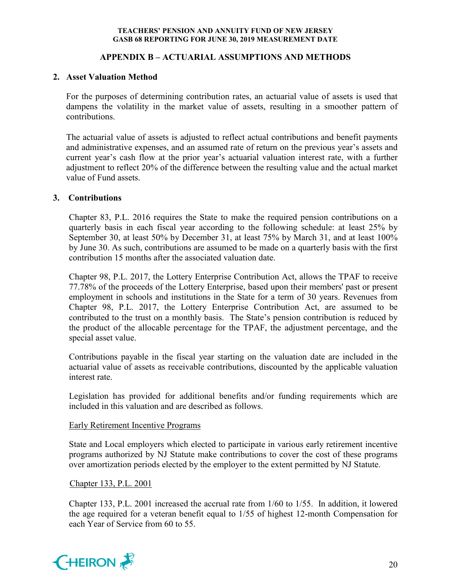## **APPENDIX B – ACTUARIAL ASSUMPTIONS AND METHODS**

## **2. Asset Valuation Method**

For the purposes of determining contribution rates, an actuarial value of assets is used that dampens the volatility in the market value of assets, resulting in a smoother pattern of contributions.

The actuarial value of assets is adjusted to reflect actual contributions and benefit payments and administrative expenses, and an assumed rate of return on the previous year's assets and current year's cash flow at the prior year's actuarial valuation interest rate, with a further adjustment to reflect 20% of the difference between the resulting value and the actual market value of Fund assets.

#### **3. Contributions**

Chapter 83, P.L. 2016 requires the State to make the required pension contributions on a quarterly basis in each fiscal year according to the following schedule: at least 25% by September 30, at least 50% by December 31, at least 75% by March 31, and at least 100% by June 30. As such, contributions are assumed to be made on a quarterly basis with the first contribution 15 months after the associated valuation date.

Chapter 98, P.L. 2017, the Lottery Enterprise Contribution Act, allows the TPAF to receive 77.78% of the proceeds of the Lottery Enterprise, based upon their members' past or present employment in schools and institutions in the State for a term of 30 years. Revenues from Chapter 98, P.L. 2017, the Lottery Enterprise Contribution Act, are assumed to be contributed to the trust on a monthly basis. The State's pension contribution is reduced by the product of the allocable percentage for the TPAF, the adjustment percentage, and the special asset value.

Contributions payable in the fiscal year starting on the valuation date are included in the actuarial value of assets as receivable contributions, discounted by the applicable valuation interest rate.

Legislation has provided for additional benefits and/or funding requirements which are included in this valuation and are described as follows.

#### Early Retirement Incentive Programs

State and Local employers which elected to participate in various early retirement incentive programs authorized by NJ Statute make contributions to cover the cost of these programs over amortization periods elected by the employer to the extent permitted by NJ Statute.

Chapter 133, P.L. 2001

Chapter 133, P.L. 2001 increased the accrual rate from 1/60 to 1/55. In addition, it lowered the age required for a veteran benefit equal to 1/55 of highest 12-month Compensation for each Year of Service from 60 to 55.

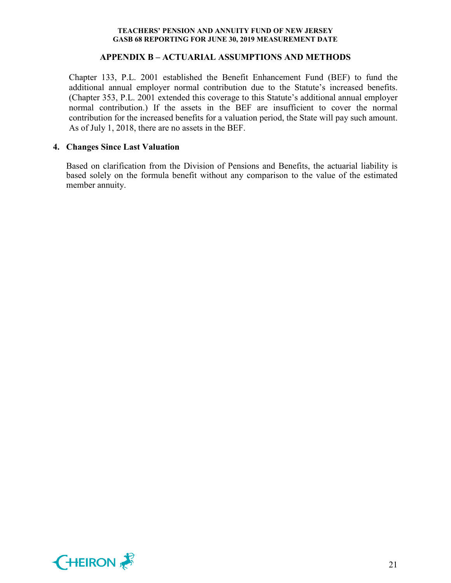#### **APPENDIX B – ACTUARIAL ASSUMPTIONS AND METHODS**

Chapter 133, P.L. 2001 established the Benefit Enhancement Fund (BEF) to fund the additional annual employer normal contribution due to the Statute's increased benefits. (Chapter 353, P.L. 2001 extended this coverage to this Statute's additional annual employer normal contribution.) If the assets in the BEF are insufficient to cover the normal contribution for the increased benefits for a valuation period, the State will pay such amount. As of July 1, 2018, there are no assets in the BEF.

#### **4. Changes Since Last Valuation**

Based on clarification from the Division of Pensions and Benefits, the actuarial liability is based solely on the formula benefit without any comparison to the value of the estimated member annuity.

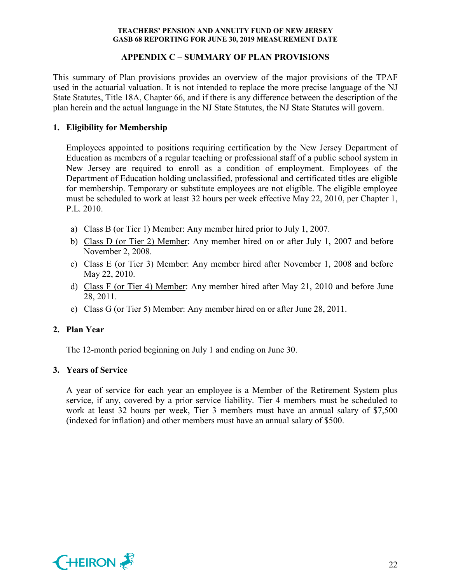## **APPENDIX C – SUMMARY OF PLAN PROVISIONS**

This summary of Plan provisions provides an overview of the major provisions of the TPAF used in the actuarial valuation. It is not intended to replace the more precise language of the NJ State Statutes, Title 18A, Chapter 66, and if there is any difference between the description of the plan herein and the actual language in the NJ State Statutes, the NJ State Statutes will govern.

## **1. Eligibility for Membership**

Employees appointed to positions requiring certification by the New Jersey Department of Education as members of a regular teaching or professional staff of a public school system in New Jersey are required to enroll as a condition of employment. Employees of the Department of Education holding unclassified, professional and certificated titles are eligible for membership. Temporary or substitute employees are not eligible. The eligible employee must be scheduled to work at least 32 hours per week effective May 22, 2010, per Chapter 1, P.L. 2010.

- a) Class B (or Tier 1) Member: Any member hired prior to July 1, 2007.
- b) Class D (or Tier 2) Member: Any member hired on or after July 1, 2007 and before November 2, 2008.
- c) Class E (or Tier 3) Member: Any member hired after November 1, 2008 and before May 22, 2010.
- d) Class F (or Tier 4) Member: Any member hired after May 21, 2010 and before June 28, 2011.
- e) Class G (or Tier 5) Member: Any member hired on or after June 28, 2011.

## **2. Plan Year**

The 12-month period beginning on July 1 and ending on June 30.

#### **3. Years of Service**

A year of service for each year an employee is a Member of the Retirement System plus service, if any, covered by a prior service liability. Tier 4 members must be scheduled to work at least 32 hours per week, Tier 3 members must have an annual salary of \$7,500 (indexed for inflation) and other members must have an annual salary of \$500.

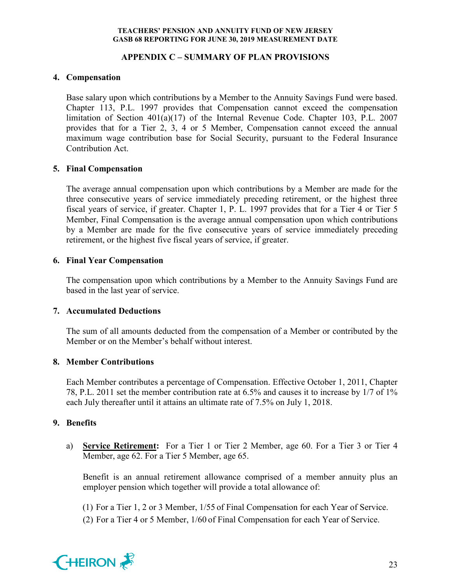## **APPENDIX C – SUMMARY OF PLAN PROVISIONS**

## **4. Compensation**

Base salary upon which contributions by a Member to the Annuity Savings Fund were based. Chapter 113, P.L. 1997 provides that Compensation cannot exceed the compensation limitation of Section 401(a)(17) of the Internal Revenue Code. Chapter 103, P.L. 2007 provides that for a Tier 2, 3, 4 or 5 Member, Compensation cannot exceed the annual maximum wage contribution base for Social Security, pursuant to the Federal Insurance Contribution Act.

## **5. Final Compensation**

The average annual compensation upon which contributions by a Member are made for the three consecutive years of service immediately preceding retirement, or the highest three fiscal years of service, if greater. Chapter 1, P. L. 1997 provides that for a Tier 4 or Tier 5 Member, Final Compensation is the average annual compensation upon which contributions by a Member are made for the five consecutive years of service immediately preceding retirement, or the highest five fiscal years of service, if greater.

## **6. Final Year Compensation**

The compensation upon which contributions by a Member to the Annuity Savings Fund are based in the last year of service.

## **7. Accumulated Deductions**

The sum of all amounts deducted from the compensation of a Member or contributed by the Member or on the Member's behalf without interest.

## **8. Member Contributions**

Each Member contributes a percentage of Compensation. Effective October 1, 2011, Chapter 78, P.L. 2011 set the member contribution rate at 6.5% and causes it to increase by 1/7 of 1% each July thereafter until it attains an ultimate rate of 7.5% on July 1, 2018.

## **9. Benefits**

a) **Service Retirement:** For a Tier 1 or Tier 2 Member, age 60. For a Tier 3 or Tier 4 Member, age 62. For a Tier 5 Member, age 65.

Benefit is an annual retirement allowance comprised of a member annuity plus an employer pension which together will provide a total allowance of:

(1) For a Tier 1, 2 or 3 Member, 1/55 of Final Compensation for each Year of Service.

(2) For a Tier 4 or 5 Member, 1/60 of Final Compensation for each Year of Service.

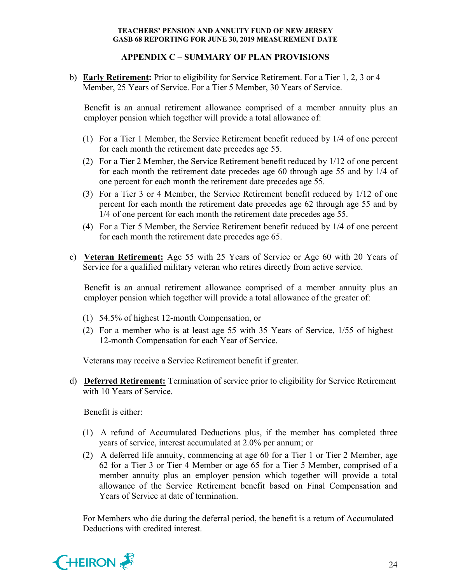## **APPENDIX C – SUMMARY OF PLAN PROVISIONS**

b) **Early Retirement:** Prior to eligibility for Service Retirement. For a Tier 1, 2, 3 or 4 Member, 25 Years of Service. For a Tier 5 Member, 30 Years of Service.

Benefit is an annual retirement allowance comprised of a member annuity plus an employer pension which together will provide a total allowance of:

- (1) For a Tier 1 Member, the Service Retirement benefit reduced by 1/4 of one percent for each month the retirement date precedes age 55.
- (2) For a Tier 2 Member, the Service Retirement benefit reduced by 1/12 of one percent for each month the retirement date precedes age 60 through age 55 and by 1/4 of one percent for each month the retirement date precedes age 55.
- (3) For a Tier 3 or 4 Member, the Service Retirement benefit reduced by 1/12 of one percent for each month the retirement date precedes age 62 through age 55 and by 1/4 of one percent for each month the retirement date precedes age 55.
- (4) For a Tier 5 Member, the Service Retirement benefit reduced by 1/4 of one percent for each month the retirement date precedes age 65.
- c) **Veteran Retirement:** Age 55 with 25 Years of Service or Age 60 with 20 Years of Service for a qualified military veteran who retires directly from active service.

Benefit is an annual retirement allowance comprised of a member annuity plus an employer pension which together will provide a total allowance of the greater of:

- (1) 54.5% of highest 12-month Compensation, or
- (2) For a member who is at least age 55 with 35 Years of Service, 1/55 of highest 12-month Compensation for each Year of Service.

Veterans may receive a Service Retirement benefit if greater.

d) **Deferred Retirement:** Termination of service prior to eligibility for Service Retirement with 10 Years of Service.

Benefit is either:

- (1) A refund of Accumulated Deductions plus, if the member has completed three years of service, interest accumulated at 2.0% per annum; or
- (2) A deferred life annuity, commencing at age 60 for a Tier 1 or Tier 2 Member, age 62 for a Tier 3 or Tier 4 Member or age 65 for a Tier 5 Member, comprised of a member annuity plus an employer pension which together will provide a total allowance of the Service Retirement benefit based on Final Compensation and Years of Service at date of termination.

For Members who die during the deferral period, the benefit is a return of Accumulated Deductions with credited interest.

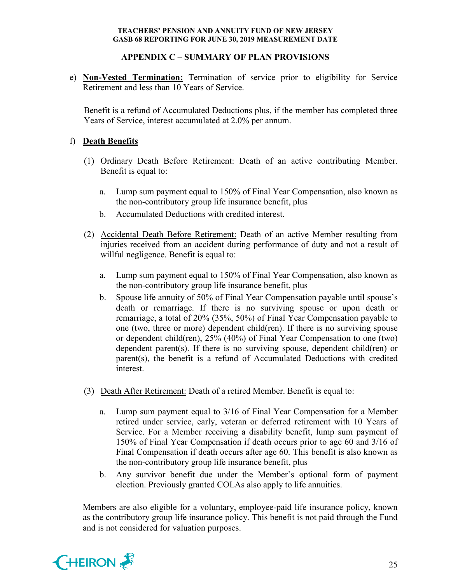## **APPENDIX C – SUMMARY OF PLAN PROVISIONS**

e) **Non-Vested Termination:** Termination of service prior to eligibility for Service Retirement and less than 10 Years of Service.

Benefit is a refund of Accumulated Deductions plus, if the member has completed three Years of Service, interest accumulated at 2.0% per annum.

## f) **Death Benefits**

- (1) Ordinary Death Before Retirement: Death of an active contributing Member. Benefit is equal to:
	- a. Lump sum payment equal to 150% of Final Year Compensation, also known as the non-contributory group life insurance benefit, plus
	- b. Accumulated Deductions with credited interest.
- (2) Accidental Death Before Retirement: Death of an active Member resulting from injuries received from an accident during performance of duty and not a result of willful negligence. Benefit is equal to:
	- a. Lump sum payment equal to 150% of Final Year Compensation, also known as the non-contributory group life insurance benefit, plus
	- b. Spouse life annuity of 50% of Final Year Compensation payable until spouse's death or remarriage. If there is no surviving spouse or upon death or remarriage, a total of 20% (35%, 50%) of Final Year Compensation payable to one (two, three or more) dependent child(ren). If there is no surviving spouse or dependent child(ren), 25% (40%) of Final Year Compensation to one (two) dependent parent(s). If there is no surviving spouse, dependent child(ren) or parent(s), the benefit is a refund of Accumulated Deductions with credited interest.
- (3) Death After Retirement: Death of a retired Member. Benefit is equal to:
	- a. Lump sum payment equal to 3/16 of Final Year Compensation for a Member retired under service, early, veteran or deferred retirement with 10 Years of Service. For a Member receiving a disability benefit, lump sum payment of 150% of Final Year Compensation if death occurs prior to age 60 and 3/16 of Final Compensation if death occurs after age 60. This benefit is also known as the non-contributory group life insurance benefit, plus
	- b. Any survivor benefit due under the Member's optional form of payment election. Previously granted COLAs also apply to life annuities.

Members are also eligible for a voluntary, employee-paid life insurance policy, known as the contributory group life insurance policy. This benefit is not paid through the Fund and is not considered for valuation purposes.

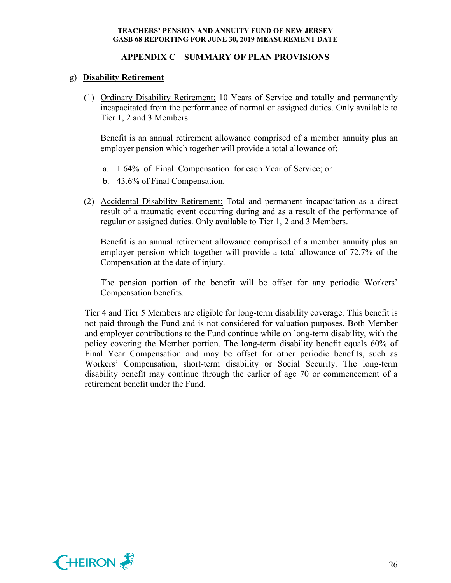## **APPENDIX C – SUMMARY OF PLAN PROVISIONS**

## g) **Disability Retirement**

(1) Ordinary Disability Retirement: 10 Years of Service and totally and permanently incapacitated from the performance of normal or assigned duties. Only available to Tier 1, 2 and 3 Members.

Benefit is an annual retirement allowance comprised of a member annuity plus an employer pension which together will provide a total allowance of:

- a. 1.64% of Final Compensation for each Year of Service; or
- b. 43.6% of Final Compensation.
- (2) Accidental Disability Retirement: Total and permanent incapacitation as a direct result of a traumatic event occurring during and as a result of the performance of regular or assigned duties. Only available to Tier 1, 2 and 3 Members.

Benefit is an annual retirement allowance comprised of a member annuity plus an employer pension which together will provide a total allowance of 72.7% of the Compensation at the date of injury.

The pension portion of the benefit will be offset for any periodic Workers' Compensation benefits.

Tier 4 and Tier 5 Members are eligible for long-term disability coverage. This benefit is not paid through the Fund and is not considered for valuation purposes. Both Member and employer contributions to the Fund continue while on long-term disability, with the policy covering the Member portion. The long-term disability benefit equals 60% of Final Year Compensation and may be offset for other periodic benefits, such as Workers' Compensation, short-term disability or Social Security. The long-term disability benefit may continue through the earlier of age 70 or commencement of a retirement benefit under the Fund.

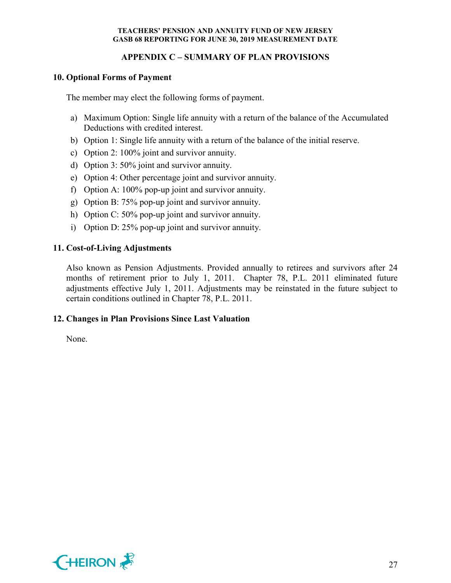## **APPENDIX C – SUMMARY OF PLAN PROVISIONS**

#### **10. Optional Forms of Payment**

The member may elect the following forms of payment.

- a) Maximum Option: Single life annuity with a return of the balance of the Accumulated Deductions with credited interest.
- b) Option 1: Single life annuity with a return of the balance of the initial reserve.
- c) Option 2: 100% joint and survivor annuity.
- d) Option 3: 50% joint and survivor annuity.
- e) Option 4: Other percentage joint and survivor annuity.
- f) Option A: 100% pop-up joint and survivor annuity.
- g) Option B: 75% pop-up joint and survivor annuity.
- h) Option C: 50% pop-up joint and survivor annuity.
- i) Option D: 25% pop-up joint and survivor annuity.

## **11. Cost-of-Living Adjustments**

Also known as Pension Adjustments. Provided annually to retirees and survivors after 24 months of retirement prior to July 1, 2011. Chapter 78, P.L. 2011 eliminated future adjustments effective July 1, 2011. Adjustments may be reinstated in the future subject to certain conditions outlined in Chapter 78, P.L. 2011.

#### **12. Changes in Plan Provisions Since Last Valuation**

None.

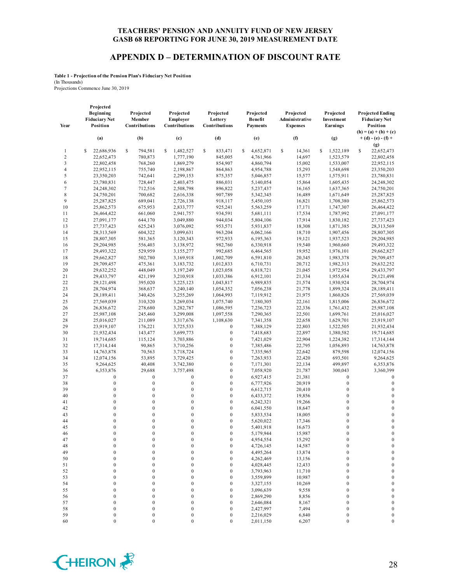#### **APPENDIX D – DETERMINATION OF DISCOUNT RATE**

**Table 1 - Projection of the Pension Plan's Fiduciary Net Position** (In Thousands)

Projections Commence June 30, 2019

|                | Projected<br>Beginning<br><b>Fiduciary Net</b> | Projected<br>Member                  | Projected<br>Employer        | Projected<br>Lottery                 | Projected<br><b>Benefit</b> | Projected<br>Administrative | Projected<br>Investment              | <b>Projected Ending</b><br><b>Fiduciary Net</b>  |
|----------------|------------------------------------------------|--------------------------------------|------------------------------|--------------------------------------|-----------------------------|-----------------------------|--------------------------------------|--------------------------------------------------|
| Year           | Position                                       | Contributions                        | Contributions                | Contributions                        | <b>Payments</b>             | <b>Expenses</b>             | Earnings                             | Position                                         |
|                | (a)                                            | (b)                                  | (c)                          | (d)                                  | (e)                         | (f)                         | (g)                                  | $(h) = (a) + (b) + (c)$<br>$+ (d) - (e) - (f) +$ |
| $\mathbf{1}$   | 22,686,936<br>\$                               | s<br>794,581                         | 1,482,527<br>\$              | \$<br>833,471                        | 4,652,871<br>s              | \$<br>14,361                | 1,522,189<br>\$                      | (g)<br>s<br>22,652,473                           |
| $\sqrt{2}$     | 22,652,473                                     | 780,873                              | 1,777,190                    | 845,005                              | 4,761,966                   | 14,697                      | 1,523,579                            | 22,802,458                                       |
| 3              | 22,802,458                                     | 768,260                              | 1,869,279                    | 854,907                              | 4,860,794                   | 15,002                      | 1,533,007                            | 22,952,115                                       |
| $\overline{4}$ | 22,952,115                                     | 755,740                              | 2,198,867                    | 864,863                              | 4,954,788                   | 15,293                      | 1,548,698                            | 23,350,203                                       |
| 5              | 23,350,203                                     | 742,641                              | 2,299,153                    | 875,357                              | 5,046,857                   | 15,577                      | 1,575,911                            | 23,780,831                                       |
| 6              | 23,780,831                                     | 728,447                              | 2,403,475                    | 886,031                              | 5,140,054                   | 15,864                      | 1,605,435                            | 24,248,302                                       |
| 7              | 24,248,302                                     | 712,516                              | 2,508,798                    | 896,822                              | 5,237,437                   | 16,165                      | 1,637,365                            | 24,750,201                                       |
| 8              | 24,750,201                                     | 700,682                              | 2,616,338                    | 907,789                              | 5,342,345                   | 16,489                      | 1,671,649                            | 25,287,825                                       |
| 9              | 25,287,825                                     | 689,041                              | 2,726,138                    | 918,117                              | 5,450,105                   | 16,821                      | 1,708,380                            | 25,862,573                                       |
| 10             | 25,862,573                                     | 675,953                              | 2,833,777                    | 925,241                              | 5,563,259                   | 17,171                      | 1,747,307                            | 26,464,422                                       |
| 11             | 26,464,422                                     | 661,060                              | 2,941,757                    | 934,591                              | 5,681,111                   | 17,534                      | 1,787,992                            | 27,091,177                                       |
| 12<br>13       | 27,091,177<br>27,737,423                       | 644,170<br>625,243                   | 3,049,880<br>3,076,092       | 944,034<br>953,571                   | 5,804,106<br>5,931,837      | 17,914<br>18,308            | 1,830,182<br>1,871,385               | 27,737,423<br>28,313,569                         |
| 14             | 28,313,569                                     | 604,322                              | 3,099,631                    | 963,204                              | 6,062,166                   | 18,710                      | 1,907,456                            | 28,807,305                                       |
| 15             | 28,807,305                                     | 581,365                              | 3,120,343                    | 972,933                              | 6,195,363                   | 19,121                      | 1,937,523                            | 29,204,985                                       |
| 16             | 29,204,985                                     | 556,403                              | 3,138,972                    | 982,760                              | 6,330,918                   | 19,540                      | 1,960,660                            | 29,493,322                                       |
| 17             | 29,493,322                                     | 529,959                              | 3,155,277                    | 992,685                              | 6,464,565                   | 19,952                      | 1,976,101                            | 29,662,827                                       |
| 18             | 29,662,827                                     | 502,780                              | 3,169,918                    | 1,002,709                            | 6,591,810                   | 20,345                      | 1,983,378                            | 29,709,457                                       |
| 19             | 29,709,457                                     | 475,361                              | 3,183,732                    | 1,012,833                            | 6,710,731                   | 20,712                      | 1,982,313                            | 29,632,252                                       |
| 20             | 29,632,252                                     | 448,049                              | 3,197,249                    | 1,023,058                            | 6,818,721                   | 21,045                      | 1,972,954                            | 29,433,797                                       |
| 21             | 29,433,797                                     | 421,199                              | 3,210,918                    | 1,033,386                            | 6,912,101                   | 21,334                      | 1,955,634                            | 29,121,498                                       |
| 22             | 29,121,498                                     | 395,020                              | 3,225,123                    | 1,043,817                            | 6,989,835                   | 21,574                      | 1,930,924                            | 28,704,974                                       |
| 23             | 28,704,974                                     | 368,637                              | 3,240,140                    | 1,054,352                            | 7,056,238                   | 21,778                      | 1,899,324                            | 28,189,411                                       |
| 24             | 28,189,411                                     | 340,426                              | 3,255,269                    | 1,064,993                            | 7,119,912                   | 21,975                      | 1,860,826                            | 27,569,039                                       |
| 25             | 27,569,039                                     | 310,320                              | 3,269,034                    | 1,075,740                            | 7,180,305                   | 22,161                      | 1,815,006                            | 26,836,672                                       |
| 26             | 26,836,672                                     | 278,680                              | 3,282,787                    | 1,086,595                            | 7,236,723                   | 22,336                      | 1,761,432                            | 25,987,108                                       |
| 27             | 25,987,108                                     | 245,460                              | 3,299,008                    | 1,097,558                            | 7,290,365                   | 22,501                      | 1,699,761                            | 25,016,027                                       |
| 28             | 25,016,027                                     | 211,089                              | 3,317,676                    | 1,108,630                            | 7,341,358                   | 22,658                      | 1,629,701                            | 23,919,107                                       |
| 29             | 23,919,107                                     | 176,221                              | 3,725,533                    | $\boldsymbol{0}$                     | 7,388,129                   | 22,803                      | 1,522,505                            | 21,932,434                                       |
| 30             | 21,932,434                                     | 143,477                              | 3,699,773                    | $\boldsymbol{0}$<br>$\boldsymbol{0}$ | 7,418,683                   | 22,897                      | 1,380,582                            | 19,714,685                                       |
| 31<br>32       | 19,714,685<br>17,314,144                       | 115,124<br>90,865                    | 3,703,886<br>3,710,256       | $\boldsymbol{0}$                     | 7,421,029<br>7,385,486      | 22,904<br>22,795            | 1,224,382<br>1,056,893               | 17,314,144<br>14,763,878                         |
| 33             | 14,763,878                                     | 70,563                               | 3,718,724                    | $\boldsymbol{0}$                     | 7,335,965                   | 22,642                      | 879,598                              | 12,074,156                                       |
| 34             | 12,074,156                                     | 53,895                               | 3,729,425                    | $\boldsymbol{0}$                     | 7,263,933                   | 22,420                      | 693,501                              | 9,264,625                                        |
| 35             | 9,264,625                                      | 40,408                               | 3,742,380                    | $\boldsymbol{0}$                     | 7,171,301                   | 22,134                      | 499,897                              | 6,353,876                                        |
| 36             | 6,353,876                                      | 29,688                               | 3,757,498                    | $\boldsymbol{0}$                     | 7,058,920                   | 21,787                      | 300,043                              | 3,360,399                                        |
| 37             | $\boldsymbol{0}$                               | $\boldsymbol{0}$                     | $\boldsymbol{0}$             | $\boldsymbol{0}$                     | 6,927,415                   | 21,381                      | $\boldsymbol{0}$                     | $\bf{0}$                                         |
| 38             | $\boldsymbol{0}$                               | $\boldsymbol{0}$                     | $\boldsymbol{0}$             | $\boldsymbol{0}$                     | 6,777,926                   | 20,919                      | $\boldsymbol{0}$                     | $\boldsymbol{0}$                                 |
| 39             | $\boldsymbol{0}$                               | $\boldsymbol{0}$                     | $\boldsymbol{0}$             | $\boldsymbol{0}$                     | 6,612,715                   | 20,410                      | $\boldsymbol{0}$                     | $\boldsymbol{0}$                                 |
| 40             | $\boldsymbol{0}$                               | $\boldsymbol{0}$                     | $\boldsymbol{0}$             | $\boldsymbol{0}$                     | 6,433,372                   | 19,856                      | $\boldsymbol{0}$                     | $\boldsymbol{0}$                                 |
| 41             | $\boldsymbol{0}$                               | $\boldsymbol{0}$                     | $\boldsymbol{0}$             | $\boldsymbol{0}$                     | 6,242,321                   | 19,266                      | $\boldsymbol{0}$                     | $\boldsymbol{0}$                                 |
| 42             | $\boldsymbol{0}$                               | $\boldsymbol{0}$                     | $\boldsymbol{0}$             | $\boldsymbol{0}$                     | 6,041,550                   | 18,647                      | $\boldsymbol{0}$                     | $\boldsymbol{0}$                                 |
| 43             | $\mathbf{0}$                                   | $\boldsymbol{0}$                     | $\boldsymbol{0}$             | $\boldsymbol{0}$                     | 5,833,534                   | 18,005                      | $\boldsymbol{0}$                     | $\boldsymbol{0}$                                 |
| 44             | $\mathbf{0}$                                   | $\mathbf{0}$                         | $\boldsymbol{0}$             | $\boldsymbol{0}$                     | 5,620,022                   | 17,346                      | $\boldsymbol{0}$                     | $\mathbf 0$                                      |
| 45             | $\mathbf{0}$                                   | $\mathbf{0}$                         | $\mathbf{0}$                 | $\mathbf{0}$                         | 5,401,918                   | 16,673                      | $\mathbf{0}$                         | $\boldsymbol{0}$                                 |
| 46             | $\Omega$                                       | $\Omega$                             | $\mathbf{0}$                 | $\boldsymbol{0}$                     | 5,179,944                   | 15,987                      | $\Omega$                             | $\Omega$                                         |
| 47             | $\boldsymbol{0}$                               | $\boldsymbol{0}$                     | $\boldsymbol{0}$             | $\boldsymbol{0}$                     | 4,954,554                   | 15,292                      | $\boldsymbol{0}$                     | $\boldsymbol{0}$                                 |
| 48             | $\boldsymbol{0}$                               | $\boldsymbol{0}$                     | $\boldsymbol{0}$             | $\boldsymbol{0}$                     | 4,726,145                   | 14,587                      | $\boldsymbol{0}$                     | $\boldsymbol{0}$                                 |
| 49             | $\boldsymbol{0}$                               | $\boldsymbol{0}$                     | $\boldsymbol{0}$             | $\boldsymbol{0}$                     | 4,495,264                   | 13,874                      | $\boldsymbol{0}$                     | $\boldsymbol{0}$                                 |
| 50             | $\mathbf{0}$                                   | $\boldsymbol{0}$                     | $\boldsymbol{0}$             | $\boldsymbol{0}$                     | 4,262,469                   | 13,156                      | $\boldsymbol{0}$                     | $\boldsymbol{0}$                                 |
| 51<br>52       | 0<br>$\boldsymbol{0}$                          | $\boldsymbol{0}$<br>$\boldsymbol{0}$ | $\bf{0}$<br>$\boldsymbol{0}$ | $\boldsymbol{0}$<br>$\boldsymbol{0}$ | 4,028,445                   | 12,433                      | $\boldsymbol{0}$<br>$\boldsymbol{0}$ | $\boldsymbol{0}$<br>$\boldsymbol{0}$             |
| 53             | 0                                              | $\boldsymbol{0}$                     | 0                            | $\boldsymbol{0}$                     | 3,793,963<br>3,559,899      | 11,710<br>10,987            | $\boldsymbol{0}$                     | $\boldsymbol{0}$                                 |
| 54             | $\boldsymbol{0}$                               | $\boldsymbol{0}$                     | $\boldsymbol{0}$             | $\boldsymbol{0}$                     | 3,327,155                   | 10,269                      | $\boldsymbol{0}$                     | $\boldsymbol{0}$                                 |
| 55             | $\mathbf{0}$                                   | $\boldsymbol{0}$                     | $\boldsymbol{0}$             | $\boldsymbol{0}$                     | 3,096,639                   | 9,558                       | $\boldsymbol{0}$                     | $\boldsymbol{0}$                                 |
| 56             | $\boldsymbol{0}$                               | $\boldsymbol{0}$                     | $\boldsymbol{0}$             | $\boldsymbol{0}$                     | 2,869,290                   | 8,856                       | $\boldsymbol{0}$                     | $\boldsymbol{0}$                                 |
| 57             | $\mathbf{0}$                                   | $\boldsymbol{0}$                     | $\boldsymbol{0}$             | $\boldsymbol{0}$                     | 2,646,084                   | 8,167                       | $\boldsymbol{0}$                     | $\boldsymbol{0}$                                 |
| 58             | $\boldsymbol{0}$                               | $\boldsymbol{0}$                     | $\boldsymbol{0}$             | $\boldsymbol{0}$                     | 2,427,997                   | 7,494                       | $\boldsymbol{0}$                     | $\boldsymbol{0}$                                 |
| 59             | $\boldsymbol{0}$                               | $\boldsymbol{0}$                     | $\boldsymbol{0}$             | $\boldsymbol{0}$                     | 2,216,029                   | 6,840                       | $\boldsymbol{0}$                     | $\boldsymbol{0}$                                 |
| 60             | $\boldsymbol{0}$                               | $\boldsymbol{0}$                     | $\boldsymbol{0}$             | $\boldsymbol{0}$                     | 2,011,150                   | 6,207                       | $\boldsymbol{0}$                     | $\boldsymbol{0}$                                 |

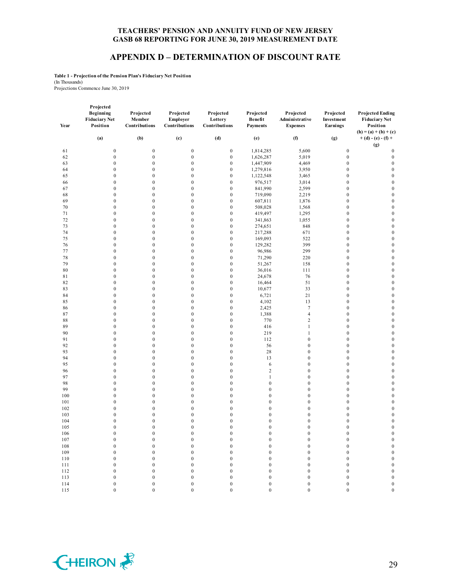#### **APPENDIX D – DETERMINATION OF DISCOUNT RATE**

**Projected Benefit** 

**Projected Administrative** 

**Projected Investment**  **Projected Ending** 

**Table 1 - Projection of the Pension Plan's Fiduciary Net Position** (In Thousands)

Projections Commence June 30, 2019

| Year       | Projected<br>Beginning<br><b>Fiduciary Net</b><br>Position | Projected<br>Member<br>Contributions | Projected<br>Employer<br>Contributions | Projected<br>Lottery<br>Contributions |
|------------|------------------------------------------------------------|--------------------------------------|----------------------------------------|---------------------------------------|
|            | (a)                                                        | (b)                                  | (c)                                    | (d)                                   |
| 61         | $\Omega$                                                   | $\Omega$                             | $\Omega$                               | $\mathbf{0}$                          |
| 62         | 0                                                          | 0                                    | 0                                      | $\Omega$                              |
| 63         | 0                                                          | 0                                    | $\Omega$                               | $\mathbf{0}$                          |
| 64         | 0                                                          | 0                                    | $\Omega$                               | $\Omega$                              |
| 65         | 0                                                          | 0                                    | $\Omega$                               | $\mathbf{0}$                          |
| 66         | $\Omega$                                                   | 0                                    | $\Omega$                               | $\mathbf{0}$                          |
| 67         |                                                            | 0                                    | $\Omega$                               | 0                                     |
| $\epsilon$ | $\Omega$                                                   | $\Omega$                             | $\Omega$                               | $\Omega$                              |

| Year       | <br><br><b>Fiduciary Net</b><br>Position | . <i>.</i><br>Member<br>Contributions | .<br>Employer<br>Contributions       | .<br>Lottery<br>Contributions        | . jectem<br>Benefit<br><b>Payments</b> | . ,<br>Administrative<br><b>Expenses</b> | . . <b>.</b><br>Investment<br>Earnings | $\ldots$<br><b>Fiduciary Net</b><br>Position            |
|------------|------------------------------------------|---------------------------------------|--------------------------------------|--------------------------------------|----------------------------------------|------------------------------------------|----------------------------------------|---------------------------------------------------------|
|            | (a)                                      | (b)                                   | (c)                                  | (d)                                  | (e)                                    | (f)                                      | (g)                                    | $(h) = (a) + (b) + (c)$<br>$+ (d) - (e) - (f) +$<br>(g) |
| 61         | $\boldsymbol{0}$                         | $\boldsymbol{0}$                      | $\boldsymbol{0}$                     | $\boldsymbol{0}$                     | 1,814,285                              | 5,600                                    | $\boldsymbol{0}$                       | $\boldsymbol{0}$                                        |
| 62         | $\boldsymbol{0}$                         | $\boldsymbol{0}$                      | $\boldsymbol{0}$                     | $\boldsymbol{0}$                     | 1,626,287                              | 5,019                                    | $\boldsymbol{0}$                       | $\boldsymbol{0}$                                        |
| 63         | $\boldsymbol{0}$                         | $\boldsymbol{0}$                      | $\boldsymbol{0}$                     | $\boldsymbol{0}$                     | 1,447,909                              | 4,469                                    | $\boldsymbol{0}$                       | $\boldsymbol{0}$                                        |
| 64         | $\boldsymbol{0}$                         | $\boldsymbol{0}$                      | $\boldsymbol{0}$                     | $\boldsymbol{0}$                     | 1,279,816                              | 3,950                                    | $\boldsymbol{0}$                       | $\boldsymbol{0}$                                        |
| 65         | $\boldsymbol{0}$                         | $\boldsymbol{0}$                      | $\boldsymbol{0}$                     | $\boldsymbol{0}$                     | 1,122,548                              | 3,465                                    | $\boldsymbol{0}$                       | $\boldsymbol{0}$                                        |
| 66         | $\boldsymbol{0}$                         | $\boldsymbol{0}$                      | $\boldsymbol{0}$                     | $\boldsymbol{0}$                     | 976,517                                | 3,014                                    | $\boldsymbol{0}$                       | $\boldsymbol{0}$                                        |
| 67         | $\mathbf{0}$                             | $\boldsymbol{0}$                      | $\boldsymbol{0}$                     | $\boldsymbol{0}$                     | 841,990                                | 2,599                                    | $\mathbf{0}$                           | $\mathbf{0}$                                            |
| 68         | $\mathbf{0}$                             | $\boldsymbol{0}$                      | $\boldsymbol{0}$                     | $\boldsymbol{0}$                     | 719,090                                | 2,219                                    | $\boldsymbol{0}$                       | $\boldsymbol{0}$                                        |
| 69         | $\boldsymbol{0}$                         | $\boldsymbol{0}$                      | $\boldsymbol{0}$                     | $\boldsymbol{0}$                     | 607,811                                | 1,876                                    | $\boldsymbol{0}$                       | $\boldsymbol{0}$                                        |
| $70\,$     | $\boldsymbol{0}$                         | $\boldsymbol{0}$                      | $\boldsymbol{0}$                     | $\boldsymbol{0}$                     | 508,028                                | 1,568                                    | $\boldsymbol{0}$                       | $\boldsymbol{0}$                                        |
| 71         | $\boldsymbol{0}$                         | $\boldsymbol{0}$                      | $\boldsymbol{0}$                     | $\boldsymbol{0}$                     | 419,497                                | 1,295                                    | $\boldsymbol{0}$                       | $\boldsymbol{0}$                                        |
| 72         | $\boldsymbol{0}$                         | $\boldsymbol{0}$                      | $\boldsymbol{0}$                     | $\boldsymbol{0}$                     | 341,863                                | 1,055                                    | $\boldsymbol{0}$                       | $\boldsymbol{0}$                                        |
| 73         | $\boldsymbol{0}$                         | $\boldsymbol{0}$                      | $\boldsymbol{0}$                     | $\boldsymbol{0}$                     | 274,651                                | 848                                      | $\boldsymbol{0}$                       | $\boldsymbol{0}$                                        |
| 74         | $\boldsymbol{0}$                         | $\boldsymbol{0}$                      | $\boldsymbol{0}$                     | $\boldsymbol{0}$                     | 217,288                                | 671                                      | $\boldsymbol{0}$                       | $\boldsymbol{0}$                                        |
| $75\,$     | $\boldsymbol{0}$                         | $\boldsymbol{0}$                      | $\boldsymbol{0}$                     | $\boldsymbol{0}$                     | 169,093                                | 522                                      | $\boldsymbol{0}$                       | $\boldsymbol{0}$                                        |
| 76         | $\mathbf{0}$                             | $\boldsymbol{0}$                      | $\boldsymbol{0}$                     | $\boldsymbol{0}$                     | 129,282                                | 399                                      | $\boldsymbol{0}$                       | $\boldsymbol{0}$                                        |
| 77         | $\boldsymbol{0}$                         | $\boldsymbol{0}$                      | $\boldsymbol{0}$                     | $\boldsymbol{0}$                     | 96,986                                 | 299                                      | $\boldsymbol{0}$                       | $\boldsymbol{0}$                                        |
| 78         | $\boldsymbol{0}$                         | $\boldsymbol{0}$                      | $\boldsymbol{0}$                     | $\boldsymbol{0}$                     | 71,290                                 | 220                                      | $\boldsymbol{0}$                       | $\boldsymbol{0}$                                        |
| 79         | $\boldsymbol{0}$                         | $\boldsymbol{0}$                      | $\boldsymbol{0}$                     | $\boldsymbol{0}$                     | 51,267                                 | 158                                      | $\boldsymbol{0}$                       | $\boldsymbol{0}$                                        |
| 80         | $\boldsymbol{0}$                         | $\boldsymbol{0}$<br>$\boldsymbol{0}$  | $\boldsymbol{0}$                     | $\boldsymbol{0}$                     | 36,016                                 | 111                                      | $\boldsymbol{0}$<br>$\boldsymbol{0}$   | $\boldsymbol{0}$                                        |
| 81<br>82   | $\boldsymbol{0}$<br>$\boldsymbol{0}$     | $\boldsymbol{0}$                      | $\boldsymbol{0}$<br>$\boldsymbol{0}$ | $\boldsymbol{0}$<br>$\boldsymbol{0}$ | 24,678<br>16,464                       | 76<br>51                                 | $\boldsymbol{0}$                       | $\boldsymbol{0}$<br>$\boldsymbol{0}$                    |
| 83         | $\boldsymbol{0}$                         | $\boldsymbol{0}$                      | $\boldsymbol{0}$                     | $\boldsymbol{0}$                     | 10,677                                 | 33                                       | $\boldsymbol{0}$                       | $\boldsymbol{0}$                                        |
| 84         | $\mathbf{0}$                             | $\mathbf{0}$                          | $\boldsymbol{0}$                     | $\boldsymbol{0}$                     | 6,721                                  | 21                                       | $\boldsymbol{0}$                       | $\boldsymbol{0}$                                        |
| 85         | $\mathbf{0}$                             | $\mathbf{0}$                          | $\boldsymbol{0}$                     | $\boldsymbol{0}$                     | 4,102                                  | 13                                       | $\boldsymbol{0}$                       | $\boldsymbol{0}$                                        |
| 86         | $\mathbf{0}$                             | $\mathbf{0}$                          | $\boldsymbol{0}$                     | $\boldsymbol{0}$                     | 2,425                                  | $\tau$                                   | $\boldsymbol{0}$                       | $\boldsymbol{0}$                                        |
| 87         | $\mathbf{0}$                             | $\mathbf{0}$                          | $\boldsymbol{0}$                     | $\boldsymbol{0}$                     | 1,388                                  | $\overline{4}$                           | $\boldsymbol{0}$                       | $\boldsymbol{0}$                                        |
| 88         | $\boldsymbol{0}$                         | $\boldsymbol{0}$                      | $\boldsymbol{0}$                     | $\boldsymbol{0}$                     | 770                                    | $\overline{c}$                           | $\boldsymbol{0}$                       | $\boldsymbol{0}$                                        |
| 89         | $\mathbf{0}$                             | $\mathbf{0}$                          | $\boldsymbol{0}$                     | $\boldsymbol{0}$                     | 416                                    | $\mathbf{1}$                             | $\boldsymbol{0}$                       | $\boldsymbol{0}$                                        |
| 90         | $\boldsymbol{0}$                         | $\boldsymbol{0}$                      | $\boldsymbol{0}$                     | $\boldsymbol{0}$                     | 219                                    | $\mathbf{1}$                             | $\boldsymbol{0}$                       | $\boldsymbol{0}$                                        |
| 91         | $\boldsymbol{0}$                         | $\boldsymbol{0}$                      | $\boldsymbol{0}$                     | $\boldsymbol{0}$                     | 112                                    | $\boldsymbol{0}$                         | $\boldsymbol{0}$                       | $\boldsymbol{0}$                                        |
| 92         | $\boldsymbol{0}$                         | $\boldsymbol{0}$                      | $\boldsymbol{0}$                     | $\boldsymbol{0}$                     | 56                                     | $\boldsymbol{0}$                         | $\boldsymbol{0}$                       | $\boldsymbol{0}$                                        |
| 93         | $\mathbf{0}$                             | $\mathbf{0}$                          | $\mathbf{0}$                         | $\mathbf{0}$                         | 28                                     | $\mathbf{0}$                             | $\boldsymbol{0}$                       | $\boldsymbol{0}$                                        |
| 94         | $\boldsymbol{0}$                         | $\boldsymbol{0}$                      | $\boldsymbol{0}$                     | $\boldsymbol{0}$                     | 13                                     | $\boldsymbol{0}$                         | $\boldsymbol{0}$                       | $\boldsymbol{0}$                                        |
| 95         | $\boldsymbol{0}$                         | $\boldsymbol{0}$                      | $\boldsymbol{0}$                     | $\boldsymbol{0}$                     | 6                                      | $\boldsymbol{0}$                         | $\boldsymbol{0}$                       | $\boldsymbol{0}$                                        |
| 96         | $\boldsymbol{0}$                         | $\boldsymbol{0}$                      | $\boldsymbol{0}$                     | $\boldsymbol{0}$                     | $\overline{2}$                         | $\boldsymbol{0}$                         | $\boldsymbol{0}$                       | $\boldsymbol{0}$                                        |
| 97         | $\boldsymbol{0}$                         | $\boldsymbol{0}$                      | $\boldsymbol{0}$                     | $\boldsymbol{0}$                     | $\mathbf{1}$                           | $\boldsymbol{0}$                         | $\boldsymbol{0}$                       | $\boldsymbol{0}$                                        |
| 98         | $\boldsymbol{0}$                         | $\boldsymbol{0}$                      | $\boldsymbol{0}$                     | $\boldsymbol{0}$                     | $\boldsymbol{0}$                       | $\boldsymbol{0}$                         | $\boldsymbol{0}$                       | $\boldsymbol{0}$                                        |
| 99         | $\boldsymbol{0}$                         | $\boldsymbol{0}$                      | $\boldsymbol{0}$                     | $\boldsymbol{0}$                     | $\boldsymbol{0}$                       | $\boldsymbol{0}$                         | $\boldsymbol{0}$                       | $\boldsymbol{0}$                                        |
| 100        | $\boldsymbol{0}$                         | $\boldsymbol{0}$                      | $\boldsymbol{0}$                     | $\boldsymbol{0}$                     | $\boldsymbol{0}$                       | $\boldsymbol{0}$                         | $\boldsymbol{0}$                       | $\boldsymbol{0}$                                        |
| 101        | $\mathbf{0}$                             | $\mathbf{0}$                          | $\boldsymbol{0}$                     | $\boldsymbol{0}$                     | $\mathbf{0}$                           | $\mathbf{0}$                             | $\boldsymbol{0}$                       | $\boldsymbol{0}$                                        |
| 102        | $\boldsymbol{0}$                         | $\boldsymbol{0}$                      | $\boldsymbol{0}$                     | $\boldsymbol{0}$                     | $\mathbf{0}$                           | $\boldsymbol{0}$                         | $\boldsymbol{0}$                       | $\boldsymbol{0}$                                        |
| 103        | $\boldsymbol{0}$                         | $\boldsymbol{0}$                      | $\boldsymbol{0}$                     | $\boldsymbol{0}$                     | $\boldsymbol{0}$                       | $\boldsymbol{0}$                         | $\boldsymbol{0}$                       | $\boldsymbol{0}$                                        |
| 104        | $\boldsymbol{0}$                         | $\boldsymbol{0}$                      | $\boldsymbol{0}$                     | $\boldsymbol{0}$                     | $\mathbf{0}$                           | $\boldsymbol{0}$                         | $\boldsymbol{0}$                       | $\boldsymbol{0}$                                        |
| 105        | $\boldsymbol{0}$                         | $\boldsymbol{0}$                      | $\boldsymbol{0}$                     | $\boldsymbol{0}$                     | $\boldsymbol{0}$                       | $\boldsymbol{0}$                         | $\boldsymbol{0}$                       | $\boldsymbol{0}$                                        |
| 106        | $\boldsymbol{0}$                         | $\boldsymbol{0}$                      | $\boldsymbol{0}$                     | $\boldsymbol{0}$                     | $\boldsymbol{0}$                       | $\boldsymbol{0}$                         | $\boldsymbol{0}$                       | $\boldsymbol{0}$                                        |
| 107        | $\boldsymbol{0}$                         | $\boldsymbol{0}$                      | $\boldsymbol{0}$                     | $\boldsymbol{0}$                     | $\boldsymbol{0}$                       | $\boldsymbol{0}$                         | $\boldsymbol{0}$                       | $\boldsymbol{0}$                                        |
| 108        | $\boldsymbol{0}$                         | $\boldsymbol{0}$                      | $\boldsymbol{0}$                     | $\boldsymbol{0}$                     | $\boldsymbol{0}$                       | $\boldsymbol{0}$                         | $\boldsymbol{0}$                       | $\boldsymbol{0}$                                        |
| 109        | $\boldsymbol{0}$                         | $\boldsymbol{0}$                      | $\boldsymbol{0}$                     | $\boldsymbol{0}$                     | $\boldsymbol{0}$                       | $\boldsymbol{0}$                         | $\boldsymbol{0}$                       | $\boldsymbol{0}$                                        |
| 110        | $\boldsymbol{0}$                         | $\boldsymbol{0}$                      | $\boldsymbol{0}$                     | $\boldsymbol{0}$                     | $\mathbf{0}$                           | $\mathbf{0}$                             | $\boldsymbol{0}$                       | $\boldsymbol{0}$                                        |
| 111        | $\boldsymbol{0}$                         | $\boldsymbol{0}$                      | $\boldsymbol{0}$                     | $\boldsymbol{0}$                     | $\boldsymbol{0}$                       | $\boldsymbol{0}$                         | $\boldsymbol{0}$                       | $\boldsymbol{0}$                                        |
| 112        | $\boldsymbol{0}$                         | $\boldsymbol{0}$<br>$\boldsymbol{0}$  | $\boldsymbol{0}$<br>$\boldsymbol{0}$ | $\boldsymbol{0}$<br>$\boldsymbol{0}$ | $\boldsymbol{0}$<br>$\mathbf{0}$       | $\boldsymbol{0}$                         | $\boldsymbol{0}$                       | $\boldsymbol{0}$                                        |
| 113<br>114 | $\boldsymbol{0}$<br>$\boldsymbol{0}$     | $\boldsymbol{0}$                      | $\boldsymbol{0}$                     | $\boldsymbol{0}$                     | $\mathbf{0}$                           | $\boldsymbol{0}$<br>$\boldsymbol{0}$     | $\boldsymbol{0}$<br>$\boldsymbol{0}$   | $\boldsymbol{0}$<br>$\boldsymbol{0}$                    |
| 115        | $\mathbf{0}$                             | $\mathbf{0}$                          | $\mathbf{0}$                         | $\mathbf{0}$                         | $\mathbf{0}$                           | $\mathbf{0}$                             | $\mathbf{0}$                           | $\boldsymbol{0}$                                        |
|            |                                          |                                       |                                      |                                      |                                        |                                          |                                        |                                                         |

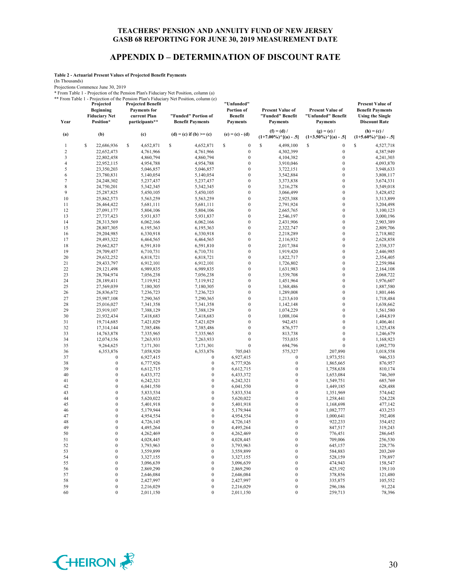#### **APPENDIX D – DETERMINATION OF DISCOUNT RATE**

**Table 2 - Actuarial Present Values of Projected Benefit Payments**

(In Thousands)

Projections Commence June 30, 2019

\* From Table 1 - Projection of the Pension Plan's Fiduciary Net Position, column (a)

\*\* From Table 1 - Projection of the Pension Plan's Fiduciary Net Position, column (e) **Projected Projected Benefit "Unfunded"** 

|                          | Projected<br><b>Beginning</b><br><b>Fiduciary Net</b> | <b>Projected Benefit</b><br><b>Payments</b> for<br>current Plan | From Table 1 - Projection of the Pension Plan's Figuelary Net Position, column (e)<br>"Funded" Portion of | "Unfunded"<br>Portion of<br><b>Benefit</b> | <b>Present Value of</b><br>"Funded" Benefit | <b>Present Value of</b><br>"Unfunded" Benefit | <b>Present Value of</b><br><b>Benefit Payments</b><br><b>Using the Single</b> |
|--------------------------|-------------------------------------------------------|-----------------------------------------------------------------|-----------------------------------------------------------------------------------------------------------|--------------------------------------------|---------------------------------------------|-----------------------------------------------|-------------------------------------------------------------------------------|
| Year                     | Position*<br>(b)                                      | participants**                                                  | <b>Benefit Payments</b><br>$(d) = (c)$ if $(b) \ge (c)$                                                   | <b>Payments</b><br>$(e) = (c) - (d)$       | <b>Payments</b><br>$(f) = (d) /$            | <b>Payments</b><br>$(g) = (e) /$              | <b>Discount Rate</b><br>$(h) = (c) /$                                         |
| (a)                      |                                                       | (c)                                                             |                                                                                                           |                                            | $(1+7.00\%)$ <sup>^</sup> [(a) - .5]        | $(1+3.50\%)$ <sup>^</sup> [(a) - .5]          | $(1+5.60\%)$ <sup>^</sup> [(a) - .5]                                          |
| 1                        | S<br>22,686,936                                       | \$<br>4,652,871                                                 | \$<br>4,652,871                                                                                           | \$<br>$\boldsymbol{0}$                     | \$<br>4,498,100                             | S<br>$\boldsymbol{0}$                         | \$<br>4,527,718                                                               |
| $\overline{\mathbf{c}}$  | 22,652,473                                            | 4,761,966                                                       | 4,761,966                                                                                                 | $\boldsymbol{0}$                           | 4,302,399                                   | $\boldsymbol{0}$                              | 4,387,949                                                                     |
| 3                        | 22,802,458                                            | 4,860,794                                                       | 4,860,794                                                                                                 | $\boldsymbol{0}$                           | 4,104,382                                   | $\boldsymbol{0}$                              | 4,241,303                                                                     |
| $\overline{\mathcal{L}}$ | 22,952,115                                            | 4,954,788                                                       | 4,954,788                                                                                                 | $\boldsymbol{0}$                           | 3,910,046                                   | $\mathbf{0}$                                  | 4,093,870                                                                     |
| 5                        | 23,350,203                                            | 5,046,857                                                       | 5,046,857                                                                                                 | $\boldsymbol{0}$                           | 3,722,151                                   | $\mathbf{0}$                                  | 3,948,633                                                                     |
| 6                        | 23,780,831                                            | 5,140,054                                                       | 5,140,054                                                                                                 | $\boldsymbol{0}$                           | 3,542,884                                   | $\boldsymbol{0}$                              | 3,808,117                                                                     |
| 7                        | 24,248,302                                            | 5,237,437                                                       | 5,237,437                                                                                                 | $\boldsymbol{0}$<br>$\boldsymbol{0}$       | 3,373,838                                   | $\mathbf{0}$<br>$\mathbf{0}$                  | 3,674,331<br>3,549,018                                                        |
| $\,$ 8 $\,$<br>9         | 24,750,201<br>25,287,825                              | 5,342,345<br>5,450,105                                          | 5,342,345<br>5,450,105                                                                                    | $\boldsymbol{0}$                           | 3,216,278<br>3,066,499                      | $\boldsymbol{0}$                              | 3,428,452                                                                     |
| 10                       | 25,862,573                                            | 5,563,259                                                       | 5,563,259                                                                                                 | $\boldsymbol{0}$                           | 2,925,388                                   | $\mathbf{0}$                                  | 3,313,899                                                                     |
| 11                       | 26,464,422                                            | 5,681,111                                                       | 5,681,111                                                                                                 | $\boldsymbol{0}$                           | 2,791,924                                   | $\mathbf{0}$                                  | 3,204,498                                                                     |
| 12                       | 27,091,177                                            | 5,804,106                                                       | 5,804,106                                                                                                 | $\boldsymbol{0}$                           | 2,665,765                                   | $\boldsymbol{0}$                              | 3,100,123                                                                     |
| 13                       | 27,737,423                                            | 5,931,837                                                       | 5,931,837                                                                                                 | $\boldsymbol{0}$                           | 2,546,197                                   | $\mathbf{0}$                                  | 3,000,196                                                                     |
| 14                       | 28,313,569                                            | 6,062,166                                                       | 6,062,166                                                                                                 | $\boldsymbol{0}$                           | 2,431,906                                   | $\mathbf{0}$                                  | 2,903,389                                                                     |
| 15                       | 28,807,305                                            | 6,195,363                                                       | 6,195,363                                                                                                 | $\boldsymbol{0}$                           | 2,322,747                                   | $\boldsymbol{0}$                              | 2,809,706                                                                     |
| 16                       | 29,204,985                                            | 6,330,918                                                       | 6,330,918                                                                                                 | $\boldsymbol{0}$                           | 2,218,289                                   | $\mathbf{0}$                                  | 2,718,802                                                                     |
| 17                       | 29,493,322                                            | 6,464,565                                                       | 6,464,565                                                                                                 | $\boldsymbol{0}$                           | 2,116,932                                   | $\mathbf{0}$                                  | 2,628,858                                                                     |
| 18                       | 29,662,827                                            | 6,591,810                                                       | 6,591,810                                                                                                 | $\boldsymbol{0}$                           | 2,017,384                                   | $\mathbf{0}$                                  | 2,538,337                                                                     |
| 19                       | 29,709,457                                            | 6,710,731                                                       | 6,710,731                                                                                                 | $\boldsymbol{0}$                           | 1,919,420                                   | $\mathbf{0}$                                  | 2,446,985                                                                     |
| 20                       | 29,632,252                                            | 6,818,721                                                       | 6,818,721                                                                                                 | $\boldsymbol{0}$                           | 1,822,717                                   | $\mathbf{0}$                                  | 2,354,405                                                                     |
| 21                       | 29,433,797                                            | 6,912,101                                                       | 6,912,101                                                                                                 | $\boldsymbol{0}$                           | 1,726,802                                   | $\mathbf{0}$                                  | 2,259,984                                                                     |
| 22                       | 29,121,498                                            | 6,989,835                                                       | 6,989,835                                                                                                 | $\boldsymbol{0}$                           | 1,631,983                                   | $\mathbf{0}$                                  | 2,164,108                                                                     |
| 23                       | 28,704,974                                            | 7,056,238                                                       | 7,056,238                                                                                                 | $\boldsymbol{0}$                           | 1,539,708                                   | $\mathbf{0}$                                  | 2,068,722                                                                     |
| 24                       | 28,189,411                                            | 7,119,912                                                       | 7,119,912                                                                                                 | $\boldsymbol{0}$                           | 1,451,964                                   | $\mathbf{0}$                                  | 1,976,607                                                                     |
| 25                       | 27,569,039                                            | 7,180,305                                                       | 7,180,305                                                                                                 | $\mathbf{0}$<br>$\boldsymbol{0}$           | 1,368,486                                   | $\mathbf{0}$<br>$\mathbf{0}$                  | 1,887,580                                                                     |
| 26<br>27                 | 26,836,672<br>25,987,108                              | 7,236,723<br>7,290,365                                          | 7,236,723<br>7,290,365                                                                                    | $\boldsymbol{0}$                           | 1,289,008<br>1,213,610                      | $\mathbf{0}$                                  | 1,801,446<br>1,718,484                                                        |
| 28                       | 25,016,027                                            | 7,341,358                                                       | 7,341,358                                                                                                 | $\boldsymbol{0}$                           | 1,142,148                                   | $\mathbf{0}$                                  | 1,638,662                                                                     |
| 29                       | 23,919,107                                            | 7,388,129                                                       | 7,388,129                                                                                                 | $\boldsymbol{0}$                           | 1,074,229                                   | $\mathbf{0}$                                  | 1,561,580                                                                     |
| 30                       | 21,932,434                                            | 7,418,683                                                       | 7,418,683                                                                                                 | $\boldsymbol{0}$                           | 1,008,104                                   | $\mathbf{0}$                                  | 1,484,819                                                                     |
| 31                       | 19,714,685                                            | 7,421,029                                                       | 7,421,029                                                                                                 | $\boldsymbol{0}$                           | 942,451                                     | $\mathbf{0}$                                  | 1,406,461                                                                     |
| 32                       | 17,314,144                                            | 7,385,486                                                       | 7,385,486                                                                                                 | $\mathbf{0}$                               | 876,577                                     | $\mathbf{0}$                                  | 1,325,438                                                                     |
| 33                       | 14,763,878                                            | 7,335,965                                                       | 7,335,965                                                                                                 | $\boldsymbol{0}$                           | 813,738                                     | $\mathbf{0}$                                  | 1,246,679                                                                     |
| 34                       | 12,074,156                                            | 7,263,933                                                       | 7,263,933                                                                                                 | $\boldsymbol{0}$                           | 753,035                                     | $\mathbf{0}$                                  | 1,168,923                                                                     |
| 35                       | 9,264,625                                             | 7,171,301                                                       | 7,171,301                                                                                                 | $\boldsymbol{0}$                           | 694,796                                     | $\boldsymbol{0}$                              | 1,092,770                                                                     |
| 36                       | 6,353,876                                             | 7,058,920                                                       | 6,353,876                                                                                                 | 705,043                                    | 575,327                                     | 207,890                                       | 1,018,558                                                                     |
| 37                       | $\boldsymbol{0}$                                      | 6,927,415                                                       | $\boldsymbol{0}$                                                                                          | 6,927,415                                  | $\boldsymbol{0}$                            | 1,973,551                                     | 946,533                                                                       |
| 38                       | $\mathbf{0}$                                          | 6,777,926                                                       | $\boldsymbol{0}$                                                                                          | 6,777,926                                  | $\boldsymbol{0}$                            | 1,865,665                                     | 876,957                                                                       |
| 39                       | $\mathbf{0}$                                          | 6,612,715                                                       | $\mathbf{0}$                                                                                              | 6,612,715                                  | $\boldsymbol{0}$                            | 1,758,638                                     | 810,174                                                                       |
| 40                       | $\mathbf{0}$                                          | 6,433,372                                                       | $\boldsymbol{0}$                                                                                          | 6,433,372                                  | $\mathbf{0}$                                | 1,653,084                                     | 746,369                                                                       |
| 41                       | $\mathbf{0}$                                          | 6,242,321                                                       | $\boldsymbol{0}$                                                                                          | 6,242,321                                  | $\boldsymbol{0}$                            | 1,549,751                                     | 685,769                                                                       |
| 42                       | $\mathbf{0}$                                          | 6,041,550                                                       | $\boldsymbol{0}$                                                                                          | 6,041,550                                  | $\boldsymbol{0}$                            | 1,449,185                                     | 628,488                                                                       |
| 43<br>44                 | $\mathbf{0}$<br>$\mathbf{0}$                          | 5,833,534                                                       | $\boldsymbol{0}$<br>$\boldsymbol{0}$                                                                      | 5,833,534<br>5,620,022                     | $\mathbf{0}$<br>$\boldsymbol{0}$            | 1,351,969                                     | 574,642                                                                       |
| 45                       | $\boldsymbol{0}$                                      | 5,620,022<br>5,401,918                                          | $\boldsymbol{0}$                                                                                          | 5,401,918                                  | $\boldsymbol{0}$                            | 1,258,441<br>1,168,698                        | 524,228<br>477,142                                                            |
| 46                       | $\mathbf{0}$                                          | 5,179,944                                                       | $\boldsymbol{0}$                                                                                          | 5,179,944                                  | $\mathbf{0}$                                | 1,082,777                                     | 433,253                                                                       |
| 47                       | $\boldsymbol{0}$                                      | 4,954,554                                                       | $\boldsymbol{0}$                                                                                          | 4,954,554                                  | $\mathbf{0}$                                | 1,000,641                                     | 392,408                                                                       |
| 48                       | $\mathbf{0}$                                          | 4,726,145                                                       | $\boldsymbol{0}$                                                                                          | 4,726,145                                  | $\mathbf{0}$                                | 922,233                                       | 354,452                                                                       |
| 49                       | $\theta$                                              | 4,495,264                                                       | $\boldsymbol{0}$                                                                                          | 4,495,264                                  | $\theta$                                    | 847.517                                       | 319,243                                                                       |
| 50                       | $\boldsymbol{0}$                                      | 4,262,469                                                       | $\boldsymbol{0}$                                                                                          | 4,262,469                                  | $\boldsymbol{0}$                            | 776,451                                       | 286,645                                                                       |
| 51                       | $\boldsymbol{0}$                                      | 4,028,445                                                       | $\boldsymbol{0}$                                                                                          | 4,028,445                                  | $\boldsymbol{0}$                            | 709,006                                       | 256,530                                                                       |
| 52                       | $\boldsymbol{0}$                                      | 3,793,963                                                       | $\boldsymbol{0}$                                                                                          | 3,793,963                                  | $\boldsymbol{0}$                            | 645,157                                       | 228,776                                                                       |
| 53                       | $\boldsymbol{0}$                                      | 3,559,899                                                       | $\boldsymbol{0}$                                                                                          | 3,559,899                                  | $\boldsymbol{0}$                            | 584,883                                       | 203,269                                                                       |
| 54                       | $\boldsymbol{0}$                                      | 3,327,155                                                       | $\boldsymbol{0}$                                                                                          | 3,327,155                                  | $\boldsymbol{0}$                            | 528,159                                       | 179,897                                                                       |
| 55                       | $\boldsymbol{0}$                                      | 3,096,639                                                       | $\boldsymbol{0}$                                                                                          | 3,096,639                                  | $\boldsymbol{0}$                            | 474,943                                       | 158,547                                                                       |
| 56                       | $\boldsymbol{0}$                                      | 2,869,290                                                       | $\boldsymbol{0}$                                                                                          | 2,869,290                                  | $\boldsymbol{0}$                            | 425,192                                       | 139,110                                                                       |
| 57                       | $\boldsymbol{0}$                                      | 2,646,084                                                       | $\boldsymbol{0}$                                                                                          | 2,646,084                                  | $\boldsymbol{0}$                            | 378,856                                       | 121,480                                                                       |
| 58                       | $\boldsymbol{0}$                                      | 2,427,997                                                       | $\boldsymbol{0}$                                                                                          | 2,427,997                                  | $\boldsymbol{0}$                            | 335,875                                       | 105,552                                                                       |
| 59                       | $\boldsymbol{0}$                                      | 2,216,029                                                       | $\boldsymbol{0}$                                                                                          | 2,216,029                                  | $\boldsymbol{0}$                            | 296,186                                       | 91,224                                                                        |
| 60                       | $\boldsymbol{0}$                                      | 2,011,150                                                       | $\boldsymbol{0}$                                                                                          | 2,011,150                                  | $\boldsymbol{0}$                            | 259,713                                       | 78,396                                                                        |

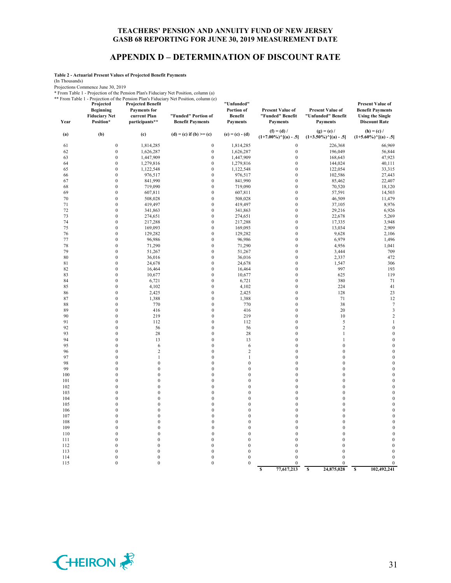#### **APPENDIX D – DETERMINATION OF DISCOUNT RATE**

**Table 2 - Actuarial Present Values of Projected Benefit Payments**

(In Thousands)

Projections Commence June 30, 2019

\* From Table 1 - Projection of the Pension Plan's Fiduciary Net Position, column (a)

\*\* From Table 1 - Projection of the Pension Plan's Fiduciary Net Position, column (e) **Projected Projected Benefit "Unfunded"** 

| 1101111001011<br>Year | Projected<br><b>Beginning</b><br><b>Fiduciary Net</b><br>Position* | <b>Projected Benefit</b><br><b>Payments</b> for<br>current Plan<br>participants** | I referred of the Pension Plan's Picturially Type Position, column (e)<br>"Funded" Portion of<br><b>Benefit Payments</b> | "Unfunded"<br>Portion of<br><b>Benefit</b><br><b>Payments</b> | <b>Present Value of</b><br>"Funded" Benefit<br><b>Payments</b> | <b>Present Value of</b><br>"Unfunded" Benefit<br><b>Payments</b> | <b>Present Value of</b><br><b>Benefit Payments</b><br><b>Using the Single</b><br><b>Discount Rate</b> |
|-----------------------|--------------------------------------------------------------------|-----------------------------------------------------------------------------------|--------------------------------------------------------------------------------------------------------------------------|---------------------------------------------------------------|----------------------------------------------------------------|------------------------------------------------------------------|-------------------------------------------------------------------------------------------------------|
| (a)                   | (b)                                                                | (c)                                                                               | $(d) = (c)$ if $(b) \ge (c)$                                                                                             | $(e) = (c) - (d)$                                             | $(f) = (d) /$<br>$(1+7.00\%)$ <sup>^</sup> [(a) - .5]          | $(g) = (e) /$<br>$(1+3.50\%)$ <sup>^</sup> [(a) - .5]            | $(h) = (c) /$<br>$(1+5.60\%)$ <sup><math>\land</math></sup> [(a) - .5]                                |
| 61                    | $\boldsymbol{0}$                                                   | 1,814,285                                                                         | $\boldsymbol{0}$                                                                                                         | 1,814,285                                                     | $\boldsymbol{0}$                                               | 226,368                                                          | 66,969                                                                                                |
| 62                    | $\boldsymbol{0}$                                                   | 1,626,287                                                                         | $\boldsymbol{0}$                                                                                                         | 1,626,287                                                     | $\boldsymbol{0}$                                               | 196,049                                                          | 56,844                                                                                                |
| 63                    | $\boldsymbol{0}$                                                   | 1,447,909                                                                         | $\boldsymbol{0}$                                                                                                         | 1,447,909                                                     | $\boldsymbol{0}$                                               | 168,643                                                          | 47,923                                                                                                |
| 64                    | $\boldsymbol{0}$                                                   | 1,279,816                                                                         | $\boldsymbol{0}$                                                                                                         | 1,279,816                                                     | $\boldsymbol{0}$                                               | 144,024                                                          | 40,111                                                                                                |
| 65                    | $\mathbf{0}$                                                       | 1,122,548                                                                         | $\boldsymbol{0}$                                                                                                         | 1,122,548                                                     | $\boldsymbol{0}$                                               | 122,054                                                          | 33,315                                                                                                |
| 66                    | $\boldsymbol{0}$                                                   | 976,517                                                                           | $\boldsymbol{0}$                                                                                                         | 976,517                                                       | $\boldsymbol{0}$                                               | 102,586                                                          | 27,443                                                                                                |
| 67                    | $\boldsymbol{0}$                                                   | 841,990                                                                           | $\boldsymbol{0}$                                                                                                         | 841,990                                                       | $\boldsymbol{0}$                                               | 85,462                                                           | 22,407                                                                                                |
| 68                    | $\mathbf{0}$                                                       | 719,090                                                                           | $\boldsymbol{0}$                                                                                                         | 719,090                                                       | $\boldsymbol{0}$                                               | 70,520                                                           | 18,120                                                                                                |
| 69                    | $\boldsymbol{0}$                                                   | 607,811                                                                           | $\boldsymbol{0}$                                                                                                         | 607,811                                                       | $\boldsymbol{0}$                                               | 57,591                                                           | 14,503                                                                                                |
| 70                    | $\boldsymbol{0}$                                                   | 508,028                                                                           | $\boldsymbol{0}$                                                                                                         | 508,028                                                       | $\boldsymbol{0}$                                               | 46,509                                                           | 11,479                                                                                                |
| 71                    | $\boldsymbol{0}$                                                   | 419,497                                                                           | $\boldsymbol{0}$                                                                                                         | 419,497                                                       | $\boldsymbol{0}$                                               | 37,105                                                           | 8,976                                                                                                 |
| 72                    | $\boldsymbol{0}$                                                   | 341,863                                                                           | $\boldsymbol{0}$                                                                                                         | 341,863                                                       | $\boldsymbol{0}$                                               | 29,216                                                           | 6,926                                                                                                 |
| 73<br>74              | $\boldsymbol{0}$<br>$\boldsymbol{0}$                               | 274,651                                                                           | $\boldsymbol{0}$<br>$\boldsymbol{0}$                                                                                     | 274,651                                                       | $\boldsymbol{0}$                                               | 22,678                                                           | 5,269                                                                                                 |
|                       | $\boldsymbol{0}$                                                   | 217,288                                                                           | $\boldsymbol{0}$                                                                                                         | 217,288                                                       | $\boldsymbol{0}$<br>$\boldsymbol{0}$                           | 17,335                                                           | 3,948                                                                                                 |
| 75<br>76              | $\boldsymbol{0}$                                                   | 169,093<br>129,282                                                                | $\boldsymbol{0}$                                                                                                         | 169,093<br>129,282                                            | $\boldsymbol{0}$                                               | 13,034<br>9,628                                                  | 2,909<br>2,106                                                                                        |
| 77                    | $\mathbf{0}$                                                       | 96,986                                                                            | $\boldsymbol{0}$                                                                                                         | 96,986                                                        | $\mathbf{0}$                                                   | 6,979                                                            | 1,496                                                                                                 |
| 78                    | $\boldsymbol{0}$                                                   | 71,290                                                                            | $\boldsymbol{0}$                                                                                                         | 71,290                                                        | $\boldsymbol{0}$                                               | 4,956                                                            | 1,041                                                                                                 |
| 79                    | $\boldsymbol{0}$                                                   | 51,267                                                                            | $\boldsymbol{0}$                                                                                                         | 51,267                                                        | $\mathbf{0}$                                                   | 3,444                                                            | 709                                                                                                   |
| 80                    | $\boldsymbol{0}$                                                   | 36,016                                                                            | $\boldsymbol{0}$                                                                                                         | 36,016                                                        | $\boldsymbol{0}$                                               | 2,337                                                            | 472                                                                                                   |
| 81                    | $\boldsymbol{0}$                                                   | 24,678                                                                            | $\boldsymbol{0}$                                                                                                         | 24,678                                                        | $\boldsymbol{0}$                                               | 1,547                                                            | 306                                                                                                   |
| 82                    | $\boldsymbol{0}$                                                   | 16,464                                                                            | $\boldsymbol{0}$                                                                                                         | 16,464                                                        | $\boldsymbol{0}$                                               | 997                                                              | 193                                                                                                   |
| 83                    | $\boldsymbol{0}$                                                   | 10,677                                                                            | $\boldsymbol{0}$                                                                                                         | 10,677                                                        | $\boldsymbol{0}$                                               | 625                                                              | 119                                                                                                   |
| 84                    | $\boldsymbol{0}$                                                   | 6,721                                                                             | $\boldsymbol{0}$                                                                                                         | 6,721                                                         | $\mathbf{0}$                                                   | 380                                                              | 71                                                                                                    |
| 85                    | $\boldsymbol{0}$                                                   | 4,102                                                                             | $\boldsymbol{0}$                                                                                                         | 4,102                                                         | $\boldsymbol{0}$                                               | 224                                                              | 41                                                                                                    |
| 86                    | $\boldsymbol{0}$                                                   | 2,425                                                                             | $\boldsymbol{0}$                                                                                                         | 2,425                                                         | $\boldsymbol{0}$                                               | 128                                                              | 23                                                                                                    |
| 87                    | $\boldsymbol{0}$                                                   | 1,388                                                                             | $\boldsymbol{0}$                                                                                                         | 1,388                                                         | $\boldsymbol{0}$                                               | 71                                                               | 12                                                                                                    |
| 88                    | $\boldsymbol{0}$                                                   | 770                                                                               | $\boldsymbol{0}$                                                                                                         | 770                                                           | $\mathbf{0}$                                                   | 38                                                               | $\boldsymbol{7}$                                                                                      |
| 89                    | $\boldsymbol{0}$                                                   | 416                                                                               | $\boldsymbol{0}$                                                                                                         | 416                                                           | $\boldsymbol{0}$                                               | 20                                                               | $\overline{\mathbf{3}}$                                                                               |
| 90                    | $\boldsymbol{0}$                                                   | 219                                                                               | $\boldsymbol{0}$                                                                                                         | 219                                                           | $\mathbf{0}$                                                   | 10                                                               | $\sqrt{2}$                                                                                            |
| 91                    | $\boldsymbol{0}$                                                   | 112                                                                               | $\boldsymbol{0}$                                                                                                         | 112                                                           | $\mathbf{0}$                                                   | 5                                                                | $\mathbf{1}$                                                                                          |
| 92                    | $\boldsymbol{0}$                                                   | 56                                                                                | $\boldsymbol{0}$                                                                                                         | 56                                                            | $\boldsymbol{0}$                                               | $\sqrt{2}$                                                       | $\boldsymbol{0}$                                                                                      |
| 93                    | $\boldsymbol{0}$                                                   | 28                                                                                | $\boldsymbol{0}$                                                                                                         | 28                                                            | $\boldsymbol{0}$                                               | $\mathbf{1}$                                                     | $\boldsymbol{0}$                                                                                      |
| 94                    | $\boldsymbol{0}$<br>$\boldsymbol{0}$                               | 13                                                                                | $\boldsymbol{0}$                                                                                                         | 13                                                            | $\mathbf{0}$<br>$\overline{0}$                                 | 1                                                                | $\boldsymbol{0}$                                                                                      |
| 95<br>96              | $\mathbf{0}$                                                       | 6<br>$\overline{c}$                                                               | $\boldsymbol{0}$<br>$\boldsymbol{0}$                                                                                     | 6<br>$\overline{2}$                                           | $\boldsymbol{0}$                                               | $\boldsymbol{0}$<br>$\mathbf{0}$                                 | $\boldsymbol{0}$<br>$\boldsymbol{0}$                                                                  |
| 97                    | $\boldsymbol{0}$                                                   | $\mathbf{1}$                                                                      | $\boldsymbol{0}$                                                                                                         | $\mathbf{1}$                                                  | $\boldsymbol{0}$                                               | $\boldsymbol{0}$                                                 | $\boldsymbol{0}$                                                                                      |
| 98                    | $\mathbf{0}$                                                       | $\boldsymbol{0}$                                                                  | $\boldsymbol{0}$                                                                                                         | $\mathbf{0}$                                                  | $\mathbf{0}$                                                   | $\boldsymbol{0}$                                                 | $\boldsymbol{0}$                                                                                      |
| 99                    | $\mathbf{0}$                                                       | $\mathbf{0}$                                                                      | $\boldsymbol{0}$                                                                                                         | $\mathbf{0}$                                                  | $\boldsymbol{0}$                                               | $\mathbf{0}$                                                     | $\boldsymbol{0}$                                                                                      |
| 100                   | $\boldsymbol{0}$                                                   | $\boldsymbol{0}$                                                                  | $\boldsymbol{0}$                                                                                                         | $\mathbf{0}$                                                  | $\mathbf{0}$                                                   | $\boldsymbol{0}$                                                 | $\boldsymbol{0}$                                                                                      |
| 101                   | $\mathbf{0}$                                                       | $\boldsymbol{0}$                                                                  | $\boldsymbol{0}$                                                                                                         | $\boldsymbol{0}$                                              | $\overline{0}$                                                 | $\boldsymbol{0}$                                                 | $\boldsymbol{0}$                                                                                      |
| 102                   | $\mathbf{0}$                                                       | $\boldsymbol{0}$                                                                  | $\mathbf{0}$                                                                                                             | $\mathbf{0}$                                                  | $\mathbf{0}$                                                   | $\boldsymbol{0}$                                                 | $\boldsymbol{0}$                                                                                      |
| 103                   | $\mathbf{0}$                                                       | $\boldsymbol{0}$                                                                  | $\boldsymbol{0}$                                                                                                         | $\mathbf{0}$                                                  | $\boldsymbol{0}$                                               | $\boldsymbol{0}$                                                 | $\boldsymbol{0}$                                                                                      |
| 104                   | $\mathbf{0}$                                                       | $\mathbf{0}$                                                                      | $\mathbf{0}$                                                                                                             | $\mathbf{0}$                                                  | $\overline{0}$                                                 | $\mathbf{0}$                                                     | $\boldsymbol{0}$                                                                                      |
| 105                   | $\mathbf{0}$                                                       | $\boldsymbol{0}$                                                                  | $\boldsymbol{0}$                                                                                                         | $\mathbf{0}$                                                  | $\overline{0}$                                                 | $\boldsymbol{0}$                                                 | $\mathbf{0}$                                                                                          |
| 106                   | $\mathbf{0}$                                                       | $\boldsymbol{0}$                                                                  | $\boldsymbol{0}$                                                                                                         | $\mathbf{0}$                                                  | $\mathbf{0}$                                                   | $\boldsymbol{0}$                                                 | $\boldsymbol{0}$                                                                                      |
| 107                   | $\mathbf{0}$                                                       | $\boldsymbol{0}$                                                                  | $\boldsymbol{0}$                                                                                                         | $\mathbf{0}$                                                  | $\mathbf{0}$                                                   | $\boldsymbol{0}$                                                 | $\boldsymbol{0}$                                                                                      |
| 108                   | $\mathbf{0}$                                                       | $\mathbf{0}$                                                                      | $\mathbf{0}$                                                                                                             | $\mathbf{0}$                                                  | $\mathbf{0}$                                                   | $\mathbf{0}$                                                     | $\boldsymbol{0}$                                                                                      |
| 109                   | $\boldsymbol{0}$                                                   | $\boldsymbol{0}$                                                                  | $\boldsymbol{0}$                                                                                                         | $\mathbf{0}$                                                  | $\boldsymbol{0}$                                               | $\boldsymbol{0}$                                                 | $\boldsymbol{0}$                                                                                      |
| 110                   | $\mathbf{0}$                                                       | $\boldsymbol{0}$                                                                  | $\boldsymbol{0}$                                                                                                         | $\mathbf{0}$                                                  | $\boldsymbol{0}$                                               | $\boldsymbol{0}$                                                 | $\boldsymbol{0}$                                                                                      |
| 111                   | $\mathbf{0}$                                                       | $\mathbf{0}$                                                                      | $\mathbf{0}$                                                                                                             | $\mathbf{0}$                                                  | $\mathbf{0}$                                                   | $\mathbf{0}$                                                     | $\boldsymbol{0}$                                                                                      |
| 112                   | $\boldsymbol{0}$                                                   | $\boldsymbol{0}$                                                                  | $\boldsymbol{0}$                                                                                                         | $\boldsymbol{0}$                                              | $\boldsymbol{0}$                                               | $\boldsymbol{0}$                                                 | $\boldsymbol{0}$                                                                                      |
| 113                   | $\boldsymbol{0}$                                                   | $\boldsymbol{0}$                                                                  | $\boldsymbol{0}$                                                                                                         | $\mathbf{0}$<br>$\boldsymbol{0}$                              | $\boldsymbol{0}$<br>$\boldsymbol{0}$                           | $\mathbf{0}$<br>$\mathbf{0}$                                     | $\boldsymbol{0}$<br>$\boldsymbol{0}$                                                                  |
| 114<br>115            | $\boldsymbol{0}$<br>$\mathbf{0}$                                   | $\boldsymbol{0}$<br>$\boldsymbol{0}$                                              | $\boldsymbol{0}$<br>$\boldsymbol{0}$                                                                                     | $\mathbf{0}$                                                  | $\boldsymbol{0}$                                               | $\mathbf{0}$                                                     | $\boldsymbol{0}$                                                                                      |
|                       |                                                                    |                                                                                   |                                                                                                                          |                                                               | $\overline{\mathbf{s}}$<br>77,617,213                          | $\overline{\mathbf{s}}$<br>24,875,028                            | $\overline{s}$<br>102,492,241                                                                         |

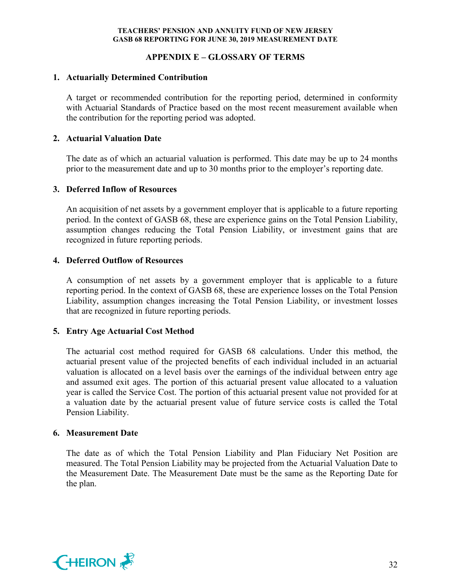## **APPENDIX E – GLOSSARY OF TERMS**

### **1. Actuarially Determined Contribution**

A target or recommended contribution for the reporting period, determined in conformity with Actuarial Standards of Practice based on the most recent measurement available when the contribution for the reporting period was adopted.

## **2. Actuarial Valuation Date**

The date as of which an actuarial valuation is performed. This date may be up to 24 months prior to the measurement date and up to 30 months prior to the employer's reporting date.

## **3. Deferred Inflow of Resources**

An acquisition of net assets by a government employer that is applicable to a future reporting period. In the context of GASB 68, these are experience gains on the Total Pension Liability, assumption changes reducing the Total Pension Liability, or investment gains that are recognized in future reporting periods.

## **4. Deferred Outflow of Resources**

A consumption of net assets by a government employer that is applicable to a future reporting period. In the context of GASB 68, these are experience losses on the Total Pension Liability, assumption changes increasing the Total Pension Liability, or investment losses that are recognized in future reporting periods.

#### **5. Entry Age Actuarial Cost Method**

The actuarial cost method required for GASB 68 calculations. Under this method, the actuarial present value of the projected benefits of each individual included in an actuarial valuation is allocated on a level basis over the earnings of the individual between entry age and assumed exit ages. The portion of this actuarial present value allocated to a valuation year is called the Service Cost. The portion of this actuarial present value not provided for at a valuation date by the actuarial present value of future service costs is called the Total Pension Liability.

#### **6. Measurement Date**

The date as of which the Total Pension Liability and Plan Fiduciary Net Position are measured. The Total Pension Liability may be projected from the Actuarial Valuation Date to the Measurement Date. The Measurement Date must be the same as the Reporting Date for the plan.